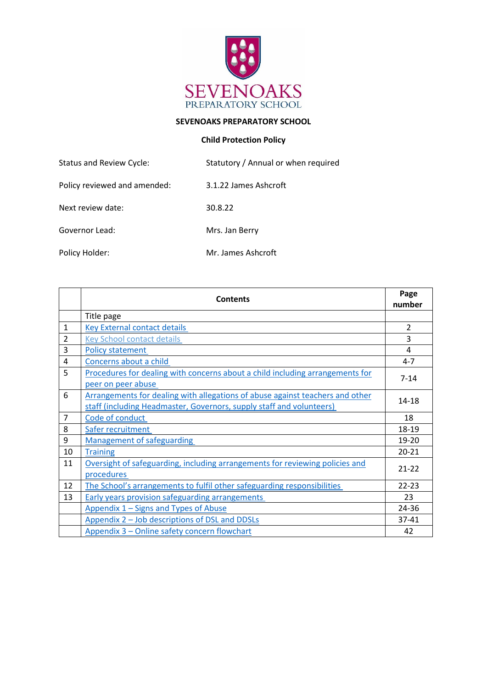

# **SEVENOAKS PREPARATORY SCHOOL**

# **Child Protection Policy**

| <b>Status and Review Cycle:</b> | Statutory / Annual or when required |
|---------------------------------|-------------------------------------|
| Policy reviewed and amended:    | 3.1.22 James Ashcroft               |
| Next review date:               | 30.8.22                             |
| Governor Lead:                  | Mrs. Jan Berry                      |
| Policy Holder:                  | Mr. James Ashcroft                  |

|                | <b>Contents</b>                                                                                                                                       | Page<br>number |
|----------------|-------------------------------------------------------------------------------------------------------------------------------------------------------|----------------|
|                | Title page                                                                                                                                            |                |
| $\mathbf{1}$   | <b>Key External contact details</b>                                                                                                                   | $\overline{2}$ |
| $\overline{2}$ | <b>Key School contact details</b>                                                                                                                     | 3              |
| 3              | <b>Policy statement</b>                                                                                                                               | 4              |
| 4              | Concerns about a child                                                                                                                                | $4 - 7$        |
| 5              | Procedures for dealing with concerns about a child including arrangements for<br>peer on peer abuse                                                   | $7 - 14$       |
| 6              | Arrangements for dealing with allegations of abuse against teachers and other<br>staff (including Headmaster, Governors, supply staff and volunteers) | 14-18          |
| $\overline{7}$ | Code of conduct                                                                                                                                       | 18             |
| 8              | Safer recruitment                                                                                                                                     | 18-19          |
| 9              | <b>Management of safeguarding</b>                                                                                                                     | 19-20          |
| 10             | <b>Training</b>                                                                                                                                       | $20 - 21$      |
| 11             | Oversight of safeguarding, including arrangements for reviewing policies and<br>procedures                                                            | $21 - 22$      |
| 12             | The School's arrangements to fulfil other safeguarding responsibilities                                                                               | $22 - 23$      |
| 13             | <b>Early years provision safeguarding arrangements</b>                                                                                                | 23             |
|                | Appendix 1 – Signs and Types of Abuse                                                                                                                 | 24-36          |
|                | Appendix 2 - Job descriptions of DSL and DDSLs                                                                                                        | 37-41          |
|                | Appendix 3 – Online safety concern flowchart                                                                                                          | 42             |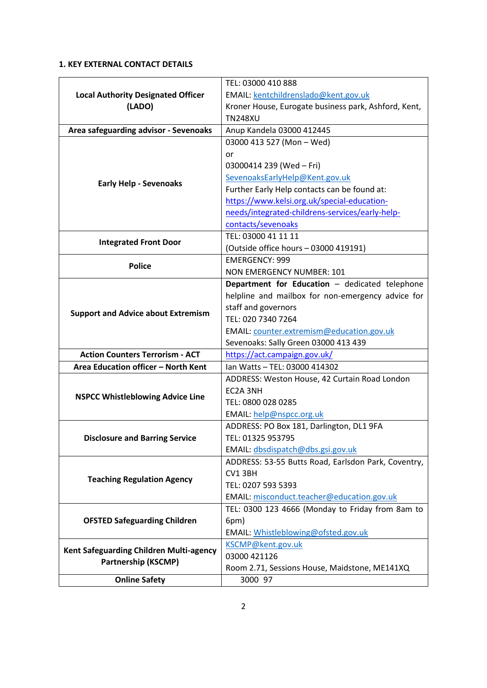# <span id="page-1-0"></span>**1. KEY EXTERNAL CONTACT DETAILS**

<span id="page-1-1"></span>

| <b>Local Authority Designated Officer</b><br>(LADO)                                                          | TEL: 03000 410 888                                   |
|--------------------------------------------------------------------------------------------------------------|------------------------------------------------------|
|                                                                                                              | EMAIL: kentchildrenslado@kent.gov.uk                 |
|                                                                                                              | Kroner House, Eurogate business park, Ashford, Kent, |
|                                                                                                              | <b>TN248XU</b>                                       |
| Area safeguarding advisor - Sevenoaks                                                                        | Anup Kandela 03000 412445                            |
|                                                                                                              | 03000 413 527 (Mon - Wed)                            |
|                                                                                                              | or                                                   |
|                                                                                                              | 03000414 239 (Wed - Fri)                             |
| <b>Early Help - Sevenoaks</b>                                                                                | SevenoaksEarlyHelp@Kent.gov.uk                       |
|                                                                                                              | Further Early Help contacts can be found at:         |
|                                                                                                              | https://www.kelsi.org.uk/special-education-          |
|                                                                                                              | needs/integrated-childrens-services/early-help-      |
|                                                                                                              | contacts/sevenoaks                                   |
|                                                                                                              | TEL: 03000 41 11 11                                  |
| <b>Integrated Front Door</b>                                                                                 | (Outside office hours - 03000 419191)                |
| <b>Police</b>                                                                                                | <b>EMERGENCY: 999</b>                                |
|                                                                                                              | NON EMERGENCY NUMBER: 101                            |
|                                                                                                              | Department for Education - dedicated telephone       |
|                                                                                                              | helpline and mailbox for non-emergency advice for    |
| <b>Support and Advice about Extremism</b>                                                                    | staff and governors                                  |
|                                                                                                              | TEL: 020 7340 7264                                   |
|                                                                                                              | EMAIL: counter.extremism@education.gov.uk            |
|                                                                                                              | Sevenoaks: Sally Green 03000 413 439                 |
| <b>Action Counters Terrorism - ACT</b>                                                                       | https://act.campaign.gov.uk/                         |
| Area Education officer - North Kent                                                                          | Ian Watts - TEL: 03000 414302                        |
|                                                                                                              | ADDRESS: Weston House, 42 Curtain Road London        |
| <b>NSPCC Whistleblowing Advice Line</b>                                                                      | EC2A 3NH                                             |
|                                                                                                              | TEL: 0800 028 0285                                   |
|                                                                                                              | EMAIL: help@nspcc.org.uk                             |
|                                                                                                              | ADDRESS: PO Box 181, Darlington, DL1 9FA             |
| <b>Disclosure and Barring Service</b>                                                                        | TEL: 01325 953795                                    |
|                                                                                                              | EMAIL: dbsdispatch@dbs.gsi.gov.uk                    |
|                                                                                                              | ADDRESS: 53-55 Butts Road, Earlsdon Park, Coventry,  |
| <b>Teaching Regulation Agency</b>                                                                            | CV1 3BH                                              |
|                                                                                                              | TEL: 0207 593 5393                                   |
|                                                                                                              | EMAIL: misconduct.teacher@education.gov.uk           |
| <b>OFSTED Safeguarding Children</b><br>Kent Safeguarding Children Multi-agency<br><b>Partnership (KSCMP)</b> | TEL: 0300 123 4666 (Monday to Friday from 8am to     |
|                                                                                                              | 6pm)                                                 |
|                                                                                                              | EMAIL: Whistleblowing@ofsted.gov.uk                  |
|                                                                                                              | KSCMP@kent.gov.uk                                    |
|                                                                                                              | 03000 421126                                         |
|                                                                                                              | Room 2.71, Sessions House, Maidstone, ME141XQ        |
| <b>Online Safety</b>                                                                                         | 3000 97                                              |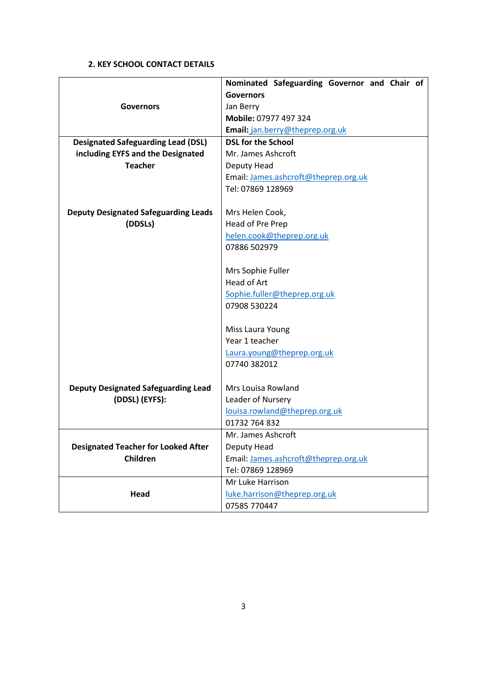# **2. KEY SCHOOL CONTACT DETAILS**

|                                             | Nominated Safeguarding Governor and Chair of |
|---------------------------------------------|----------------------------------------------|
|                                             | <b>Governors</b>                             |
| <b>Governors</b>                            | Jan Berry                                    |
|                                             | Mobile: 07977 497 324                        |
|                                             | Email: jan.berry@theprep.org.uk              |
| <b>Designated Safeguarding Lead (DSL)</b>   | <b>DSL for the School</b>                    |
| including EYFS and the Designated           | Mr. James Ashcroft                           |
| <b>Teacher</b>                              | Deputy Head                                  |
|                                             | Email: James.ashcroft@theprep.org.uk         |
|                                             | Tel: 07869 128969                            |
|                                             |                                              |
| <b>Deputy Designated Safeguarding Leads</b> | Mrs Helen Cook,                              |
| (DDSLs)                                     | Head of Pre Prep                             |
|                                             | helen.cook@theprep.org.uk                    |
|                                             | 07886 502979                                 |
|                                             |                                              |
|                                             | Mrs Sophie Fuller                            |
|                                             | Head of Art                                  |
|                                             | Sophie.fuller@theprep.org.uk                 |
|                                             | 07908 530224                                 |
|                                             | Miss Laura Young                             |
|                                             | Year 1 teacher                               |
|                                             | Laura.young@theprep.org.uk                   |
|                                             | 07740 382012                                 |
|                                             |                                              |
| <b>Deputy Designated Safeguarding Lead</b>  | Mrs Louisa Rowland                           |
| (DDSL) (EYFS):                              | Leader of Nursery                            |
|                                             | louisa.rowland@theprep.org.uk                |
|                                             | 01732 764 832                                |
|                                             | Mr. James Ashcroft                           |
| <b>Designated Teacher for Looked After</b>  | Deputy Head                                  |
| Children                                    | Email: James.ashcroft@theprep.org.uk         |
|                                             | Tel: 07869 128969                            |
|                                             | Mr Luke Harrison                             |
| Head                                        | luke.harrison@theprep.org.uk                 |
|                                             | 07585 770447                                 |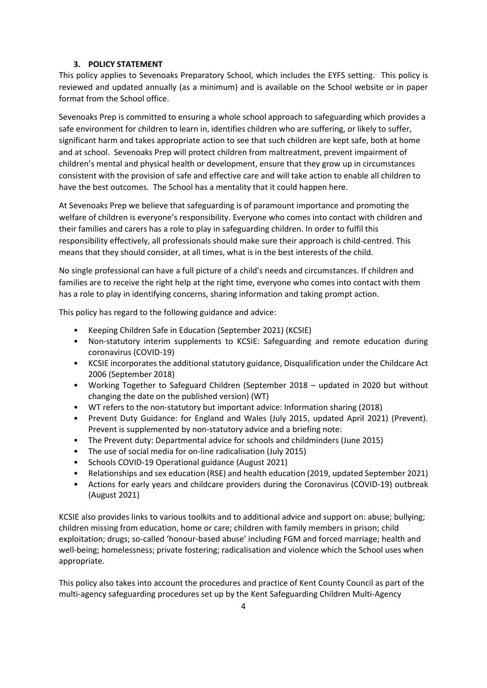### **3. POLICY STATEMENT**

<span id="page-3-0"></span>This policy applies to Sevenoaks Preparatory School, which includes the EYFS setting. . This policy is reviewed and updated annually (as a minimum) and is available on the School website or in paper format from the School office.

Sevenoaks Prep is committed to ensuring a whole school approach to safeguarding which provides a safe environment for children to learn in, identifies children who are suffering, or likely to suffer, significant harm and takes appropriate action to see that such children are kept safe, both at home and at school. Sevenoaks Prep will protect children from maltreatment, prevent impairment of children's mental and physical health or development, ensure that they grow up in circumstances consistent with the provision of safe and effective care and will take action to enable all children to have the best outcomes. The School has a mentality that it could happen here.

At Sevenoaks Prep we believe that safeguarding is of paramount importance and promoting the welfare of children is everyone's responsibility. Everyone who comes into contact with children and their families and carers has a role to play in safeguarding children. In order to fulfil this responsibility effectively, all professionals should make sure their approach is child-centred. This means that they should consider, at all times, what is in the best interests of the child.

No single professional can have a full picture of a child's needs and circumstances. If children and families are to receive the right help at the right time, everyone who comes into contact with them has a role to play in identifying concerns, sharing information and taking prompt action.

This policy has regard to the following guidance and advice:

- Keeping Children Safe in Education (September 2021) (KCSIE)
- Non-statutory interim supplements to KCSIE: Safeguarding and remote education during coronavirus (COVID-19)
- KCSIE incorporates the additional statutory guidance, Disqualification under the Childcare Act 2006 (September 2018)
- Working Together to Safeguard Children (September 2018 updated in 2020 but without changing the date on the published version) (WT)
- WT refers to the non-statutory but important advice: Information sharing (2018)
- Prevent Duty Guidance: for England and Wales (July 2015, updated April 2021) (Prevent). Prevent is supplemented by non-statutory advice and a briefing note:
- The Prevent duty: Departmental advice for schools and childminders (June 2015)
- The use of social media for on-line radicalisation (July 2015)
- Schools COVID-19 Operational guidance (August 2021)
- Relationships and sex education (RSE) and health education (2019, updated September 2021)
- Actions for early years and childcare providers during the Coronavirus (COVID-19) outbreak (August 2021)

KCSIE also provides links to various toolkits and to additional advice and support on: abuse; bullying; children missing from education, home or care; children with family members in prison; child exploitation; drugs; so-called 'honour-based abuse' including FGM and forced marriage; health and well-being; homelessness; private fostering; radicalisation and violence which the School uses when appropriate.

This policy also takes into account the procedures and practice of Kent County Council as part of the multi-agency safeguarding procedures set up by the Kent Safeguarding Children Multi-Agency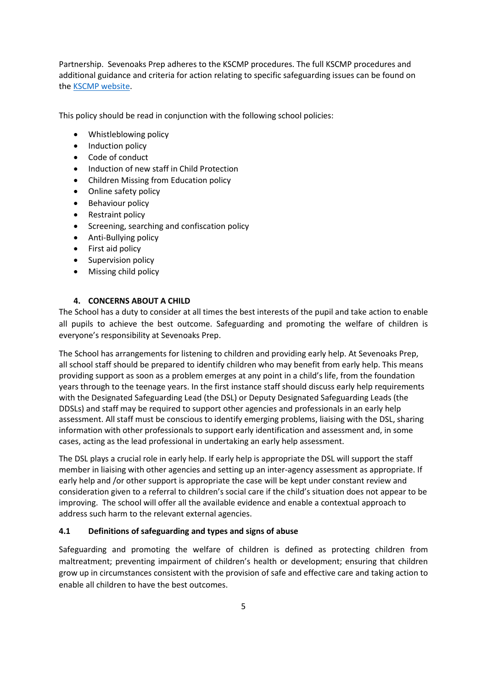Partnership. Sevenoaks Prep adheres to the KSCMP procedures. The full KSCMP procedures and additional guidance and criteria for action relating to specific safeguarding issues can be found on th[e KSCMP website.](https://www.kscmp.org.uk/)

This policy should be read in conjunction with the following school policies:

- Whistleblowing policy
- Induction policy
- Code of conduct
- Induction of new staff in Child Protection
- Children Missing from Education policy
- Online safety policy
- Behaviour policy
- Restraint policy
- Screening, searching and confiscation policy
- Anti-Bullying policy
- First aid policy
- Supervision policy
- <span id="page-4-0"></span>• Missing child policy

# **4. CONCERNS ABOUT A CHILD**

The School has a duty to consider at all times the best interests of the pupil and take action to enable all pupils to achieve the best outcome. Safeguarding and promoting the welfare of children is everyone's responsibility at Sevenoaks Prep.

The School has arrangements for listening to children and providing early help. At Sevenoaks Prep, all school staff should be prepared to identify children who may benefit from early help. This means providing support as soon as a problem emerges at any point in a child's life, from the foundation years through to the teenage years. In the first instance staff should discuss early help requirements with the Designated Safeguarding Lead (the DSL) or Deputy Designated Safeguarding Leads (the DDSLs) and staff may be required to support other agencies and professionals in an early help assessment. All staff must be conscious to identify emerging problems, liaising with the DSL, sharing information with other professionals to support early identification and assessment and, in some cases, acting as the lead professional in undertaking an early help assessment.

The DSL plays a crucial role in early help. If early help is appropriate the DSL will support the staff member in liaising with other agencies and setting up an inter-agency assessment as appropriate. If early help and /or other support is appropriate the case will be kept under constant review and consideration given to a referral to children's social care if the child's situation does not appear to be improving. The school will offer all the available evidence and enable a contextual approach to address such harm to the relevant external agencies.

# **4.1 Definitions of safeguarding and types and signs of abuse**

Safeguarding and promoting the welfare of children is defined as protecting children from maltreatment; preventing impairment of children's health or development; ensuring that children grow up in circumstances consistent with the provision of safe and effective care and taking action to enable all children to have the best outcomes.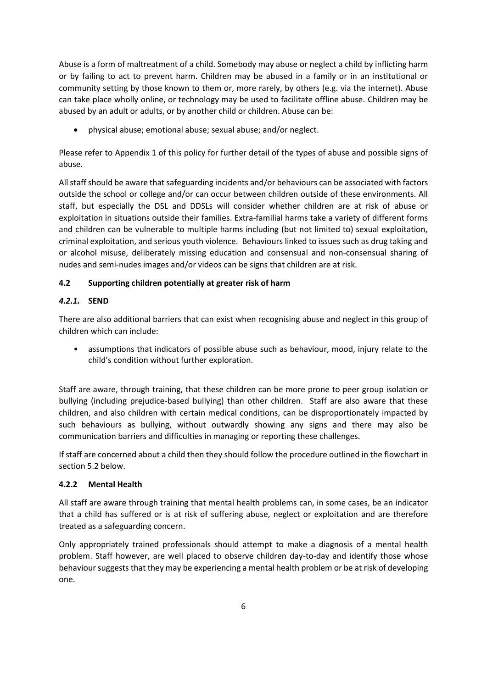Abuse is a form of maltreatment of a child. Somebody may abuse or neglect a child by inflicting harm or by failing to act to prevent harm. Children may be abused in a family or in an institutional or community setting by those known to them or, more rarely, by others (e.g. via the internet). Abuse can take place wholly online, or technology may be used to facilitate offline abuse. Children may be abused by an adult or adults, or by another child or children. Abuse can be:

• physical abuse; emotional abuse; sexual abuse; and/or neglect.

Please refer to Appendix 1 of this policy for further detail of the types of abuse and possible signs of abuse.

All staff should be aware that safeguarding incidents and/or behaviours can be associated with factors outside the school or college and/or can occur between children outside of these environments. All staff, but especially the DSL and DDSLs will consider whether children are at risk of abuse or exploitation in situations outside their families. Extra-familial harms take a variety of different forms and children can be vulnerable to multiple harms including (but not limited to) sexual exploitation, criminal exploitation, and serious youth violence. Behaviours linked to issues such as drug taking and or alcohol misuse, deliberately missing education and consensual and non-consensual sharing of nudes and semi-nudes images and/or videos can be signs that children are at risk.

# **4.2 Supporting children potentially at greater risk of harm**

# *4.2.1.* **SEND**

There are also additional barriers that can exist when recognising abuse and neglect in this group of children which can include:

• assumptions that indicators of possible abuse such as behaviour, mood, injury relate to the child's condition without further exploration.

Staff are aware, through training, that these children can be more prone to peer group isolation or bullying (including prejudice-based bullying) than other children. Staff are also aware that these children, and also children with certain medical conditions, can be disproportionately impacted by such behaviours as bullying, without outwardly showing any signs and there may also be communication barriers and difficulties in managing or reporting these challenges.

If staff are concerned about a child then they should follow the procedure outlined in the flowchart in section 5.2 below.

# **4.2.2 Mental Health**

All staff are aware through training that mental health problems can, in some cases, be an indicator that a child has suffered or is at risk of suffering abuse, neglect or exploitation and are therefore treated as a safeguarding concern.

Only appropriately trained professionals should attempt to make a diagnosis of a mental health problem. Staff however, are well placed to observe children day-to-day and identify those whose behaviour suggests that they may be experiencing a mental health problem or be at risk of developing one.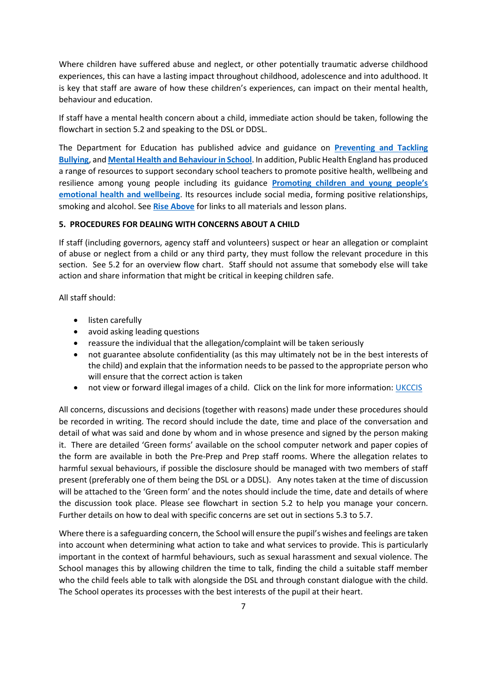Where children have suffered abuse and neglect, or other potentially traumatic adverse childhood experiences, this can have a lasting impact throughout childhood, adolescence and into adulthood. It is key that staff are aware of how these children's experiences, can impact on their mental health, behaviour and education.

If staff have a mental health concern about a child, immediate action should be taken, following the flowchart in section 5.2 and speaking to the DSL or DDSL.

The Department for Education has published advice and guidance on **[Preventing and Tackling](https://assets.publishing.service.gov.uk/government/uploads/system/uploads/attachment_data/file/623895/Preventing_and_tackling_bullying_advice.pdf)  [Bullying](https://assets.publishing.service.gov.uk/government/uploads/system/uploads/attachment_data/file/623895/Preventing_and_tackling_bullying_advice.pdf)**, and **[Mental Health and Behaviour in School](https://assets.publishing.service.gov.uk/government/uploads/system/uploads/attachment_data/file/755135/Mental_health_and_behaviour_in_schools__.pdf)**. In addition, Public Health England has produced a range of resources to support secondary school teachers to promote positive health, wellbeing and resilience among young people including its guidance **[Promoting children and young people's](https://assets.publishing.service.gov.uk/government/uploads/system/uploads/attachment_data/file/1019467/Promoting_children_and_young_people_s_mental_health_and_wellbeing.pdf)  [emotional health and wellbeing](https://assets.publishing.service.gov.uk/government/uploads/system/uploads/attachment_data/file/1019467/Promoting_children_and_young_people_s_mental_health_and_wellbeing.pdf)**. Its resources include social media, forming positive relationships, smoking and alcohol. See **[Rise Above](https://campaignresources.phe.gov.uk/schools/topics/mental-wellbeing/overview)** for links to all materials and lesson plans.

#### <span id="page-6-0"></span>**5. PROCEDURES FOR DEALING WITH CONCERNS ABOUT A CHILD**

If staff (including governors, agency staff and volunteers) suspect or hear an allegation or complaint of abuse or neglect from a child or any third party, they must follow the relevant procedure in this section. See 5.2 for an overview flow chart. Staff should not assume that somebody else will take action and share information that might be critical in keeping children safe.

All staff should:

- listen carefully
- avoid asking leading questions
- reassure the individual that the allegation/complaint will be taken seriously
- not guarantee absolute confidentiality (as this may ultimately not be in the best interests of the child) and explain that the information needs to be passed to the appropriate person who will ensure that the correct action is taken
- not view or forward illegal images of a child. Click on the link for more information[: UKCCIS](https://www.gov.uk/government/groups/uk-council-for-child-internet-safety-ukccis)

All concerns, discussions and decisions (together with reasons) made under these procedures should be recorded in writing. The record should include the date, time and place of the conversation and detail of what was said and done by whom and in whose presence and signed by the person making it. There are detailed 'Green forms' available on the school computer network and paper copies of the form are available in both the Pre-Prep and Prep staff rooms. Where the allegation relates to harmful sexual behaviours, if possible the disclosure should be managed with two members of staff present (preferably one of them being the DSL or a DDSL). Any notes taken at the time of discussion will be attached to the 'Green form' and the notes should include the time, date and details of where the discussion took place. Please see flowchart in section 5.2 to help you manage your concern. Further details on how to deal with specific concerns are set out in sections 5.3 to 5.7.

Where there is a safeguarding concern, the School will ensure the pupil's wishes and feelings are taken into account when determining what action to take and what services to provide. This is particularly important in the context of harmful behaviours, such as sexual harassment and sexual violence. The School manages this by allowing children the time to talk, finding the child a suitable staff member who the child feels able to talk with alongside the DSL and through constant dialogue with the child. The School operates its processes with the best interests of the pupil at their heart.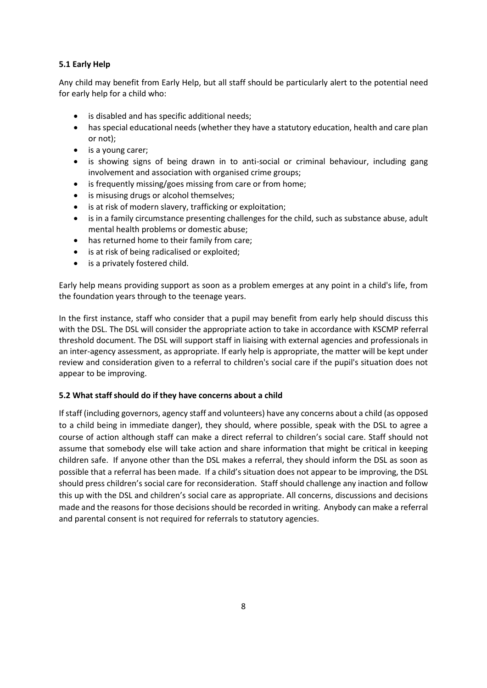# **5.1 Early Help**

Any child may benefit from Early Help, but all staff should be particularly alert to the potential need for early help for a child who:

- is disabled and has specific additional needs;
- has special educational needs (whether they have a statutory education, health and care plan or not);
- is a young carer;
- is showing signs of being drawn in to anti-social or criminal behaviour, including gang involvement and association with organised crime groups;
- is frequently missing/goes missing from care or from home;
- is misusing drugs or alcohol themselves;
- is at risk of modern slavery, trafficking or exploitation;
- is in a family circumstance presenting challenges for the child, such as substance abuse, adult mental health problems or domestic abuse;
- has returned home to their family from care;
- is at risk of being radicalised or exploited;
- is a privately fostered child.

Early help means providing support as soon as a problem emerges at any point in a child's life, from the foundation years through to the teenage years.

In the first instance, staff who consider that a pupil may benefit from early help should discuss this with the DSL. The DSL will consider the appropriate action to take in accordance with KSCMP referral threshold document. The DSL will support staff in liaising with external agencies and professionals in an inter-agency assessment, as appropriate. If early help is appropriate, the matter will be kept under review and consideration given to a referral to children's social care if the pupil's situation does not appear to be improving.

# **5.2 What staff should do if they have concerns about a child**

If staff (including governors, agency staff and volunteers) have any concerns about a child (as opposed to a child being in immediate danger), they should, where possible, speak with the DSL to agree a course of action although staff can make a direct referral to children's social care. Staff should not assume that somebody else will take action and share information that might be critical in keeping children safe. If anyone other than the DSL makes a referral, they should inform the DSL as soon as possible that a referral has been made. If a child's situation does not appear to be improving, the DSL should press children's social care for reconsideration. Staff should challenge any inaction and follow this up with the DSL and children's social care as appropriate. All concerns, discussions and decisions made and the reasons for those decisions should be recorded in writing. Anybody can make a referral and parental consent is not required for referrals to statutory agencies.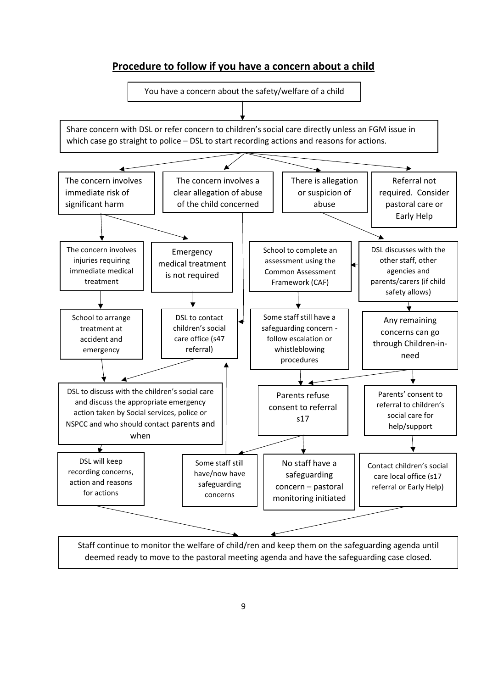# **Procedure to follow if you have a concern about a child**

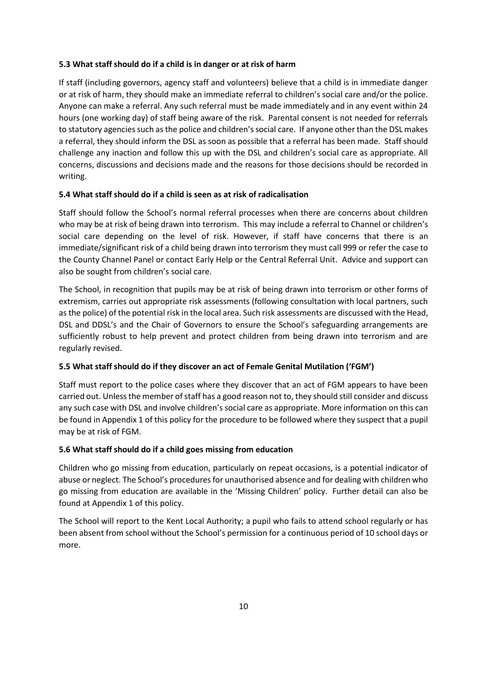### **5.3 What staff should do if a child is in danger or at risk of harm**

If staff (including governors, agency staff and volunteers) believe that a child is in immediate danger or at risk of harm, they should make an immediate referral to children's social care and/or the police. Anyone can make a referral. Any such referral must be made immediately and in any event within 24 hours (one working day) of staff being aware of the risk. Parental consent is not needed for referrals to statutory agencies such as the police and children's social care. If anyone other than the DSL makes a referral, they should inform the DSL as soon as possible that a referral has been made. Staff should challenge any inaction and follow this up with the DSL and children's social care as appropriate. All concerns, discussions and decisions made and the reasons for those decisions should be recorded in writing.

### **5.4 What staff should do if a child is seen as at risk of radicalisation**

Staff should follow the School's normal referral processes when there are concerns about children who may be at risk of being drawn into terrorism. This may include a referral to Channel or children's social care depending on the level of risk. However, if staff have concerns that there is an immediate/significant risk of a child being drawn into terrorism they must call 999 or refer the case to the County Channel Panel or contact Early Help or the Central Referral Unit. Advice and support can also be sought from children's social care.

The School, in recognition that pupils may be at risk of being drawn into terrorism or other forms of extremism, carries out appropriate risk assessments (following consultation with local partners, such as the police) of the potential risk in the local area. Such risk assessments are discussed with the Head, DSL and DDSL's and the Chair of Governors to ensure the School's safeguarding arrangements are sufficiently robust to help prevent and protect children from being drawn into terrorism and are regularly revised.

### **5.5 What staff should do if they discover an act of Female Genital Mutilation ('FGM')**

Staff must report to the police cases where they discover that an act of FGM appears to have been carried out. Unless the member of staff has a good reason not to, they should still consider and discuss any such case with DSL and involve children's social care as appropriate. More information on this can be found in Appendix 1 of this policy for the procedure to be followed where they suspect that a pupil may be at risk of FGM.

### **5.6 What staff should do if a child goes missing from education**

Children who go missing from education, particularly on repeat occasions, is a potential indicator of abuse or neglect. The School's procedures for unauthorised absence and for dealing with children who go missing from education are available in the 'Missing Children' policy. Further detail can also be found at Appendix 1 of this policy.

The School will report to the Kent Local Authority; a pupil who fails to attend school regularly or has been absent from school without the School's permission for a continuous period of 10 school days or more.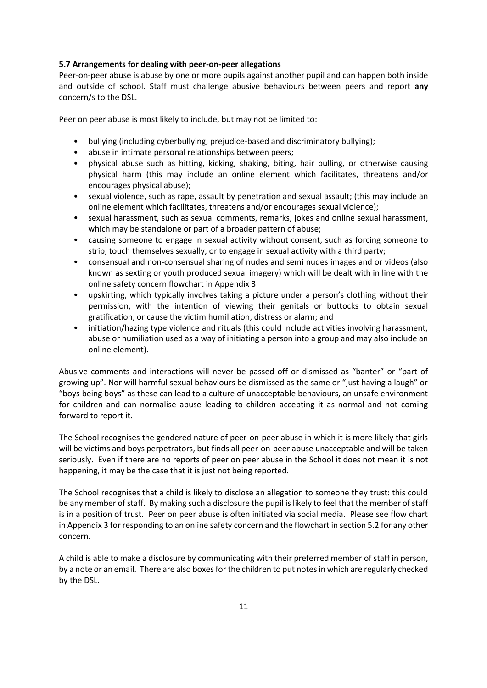### **5.7 Arrangements for dealing with peer-on-peer allegations**

Peer-on-peer abuse is abuse by one or more pupils against another pupil and can happen both inside and outside of school. Staff must challenge abusive behaviours between peers and report **any**  concern/s to the DSL.

Peer on peer abuse is most likely to include, but may not be limited to:

- bullying (including cyberbullying, prejudice-based and discriminatory bullying);
- abuse in intimate personal relationships between peers;
- physical abuse such as hitting, kicking, shaking, biting, hair pulling, or otherwise causing physical harm (this may include an online element which facilitates, threatens and/or encourages physical abuse);
- sexual violence, such as rape, assault by penetration and sexual assault; (this may include an online element which facilitates, threatens and/or encourages sexual violence);
- sexual harassment, such as sexual comments, remarks, jokes and online sexual harassment, which may be standalone or part of a broader pattern of abuse;
- causing someone to engage in sexual activity without consent, such as forcing someone to strip, touch themselves sexually, or to engage in sexual activity with a third party;
- consensual and non-consensual sharing of nudes and semi nudes images and or videos (also known as sexting or youth produced sexual imagery) which will be dealt with in line with the online safety concern flowchart in Appendix 3
- upskirting, which typically involves taking a picture under a person's clothing without their permission, with the intention of viewing their genitals or buttocks to obtain sexual gratification, or cause the victim humiliation, distress or alarm; and
- initiation/hazing type violence and rituals (this could include activities involving harassment, abuse or humiliation used as a way of initiating a person into a group and may also include an online element).

Abusive comments and interactions will never be passed off or dismissed as "banter" or "part of growing up". Nor will harmful sexual behaviours be dismissed as the same or "just having a laugh" or "boys being boys" as these can lead to a culture of unacceptable behaviours, an unsafe environment for children and can normalise abuse leading to children accepting it as normal and not coming forward to report it.

The School recognises the gendered nature of peer-on-peer abuse in which it is more likely that girls will be victims and boys perpetrators, but finds all peer-on-peer abuse unacceptable and will be taken seriously. Even if there are no reports of peer on peer abuse in the School it does not mean it is not happening, it may be the case that it is just not being reported.

The School recognises that a child is likely to disclose an allegation to someone they trust: this could be any member of staff. By making such a disclosure the pupil is likely to feel that the member of staff is in a position of trust. Peer on peer abuse is often initiated via social media. Please see flow chart in Appendix 3 for responding to an online safety concern and the flowchart in section 5.2 for any other concern.

A child is able to make a disclosure by communicating with their preferred member of staff in person, by a note or an email. There are also boxes for the children to put notes in which are regularly checked by the DSL.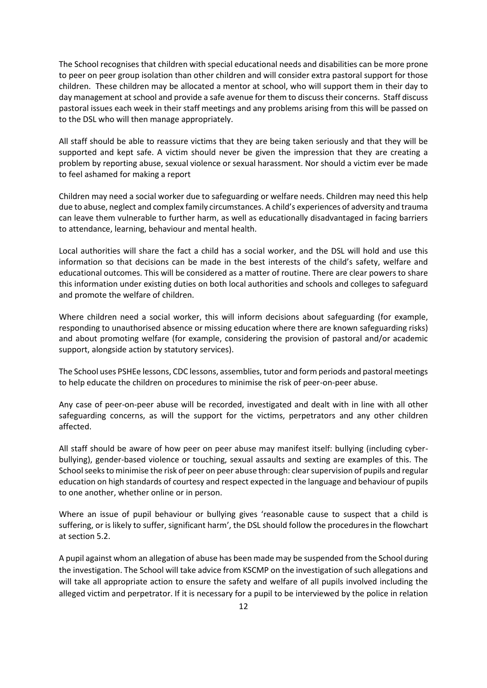The School recognises that children with special educational needs and disabilities can be more prone to peer on peer group isolation than other children and will consider extra pastoral support for those children. These children may be allocated a mentor at school, who will support them in their day to day management at school and provide a safe avenue for them to discuss their concerns. Staff discuss pastoral issues each week in their staff meetings and any problems arising from this will be passed on to the DSL who will then manage appropriately.

All staff should be able to reassure victims that they are being taken seriously and that they will be supported and kept safe. A victim should never be given the impression that they are creating a problem by reporting abuse, sexual violence or sexual harassment. Nor should a victim ever be made to feel ashamed for making a report

Children may need a social worker due to safeguarding or welfare needs. Children may need this help due to abuse, neglect and complex family circumstances. A child's experiences of adversity and trauma can leave them vulnerable to further harm, as well as educationally disadvantaged in facing barriers to attendance, learning, behaviour and mental health.

Local authorities will share the fact a child has a social worker, and the DSL will hold and use this information so that decisions can be made in the best interests of the child's safety, welfare and educational outcomes. This will be considered as a matter of routine. There are clear powers to share this information under existing duties on both local authorities and schools and colleges to safeguard and promote the welfare of children.

Where children need a social worker, this will inform decisions about safeguarding (for example, responding to unauthorised absence or missing education where there are known safeguarding risks) and about promoting welfare (for example, considering the provision of pastoral and/or academic support, alongside action by statutory services).

The School uses PSHEe lessons, CDC lessons, assemblies, tutor and form periods and pastoral meetings to help educate the children on procedures to minimise the risk of peer-on-peer abuse.

Any case of peer-on-peer abuse will be recorded, investigated and dealt with in line with all other safeguarding concerns, as will the support for the victims, perpetrators and any other children affected.

All staff should be aware of how peer on peer abuse may manifest itself: bullying (including cyberbullying), gender-based violence or touching, sexual assaults and sexting are examples of this. The School seeks to minimise the risk of peer on peer abuse through: clear supervision of pupils and regular education on high standards of courtesy and respect expected in the language and behaviour of pupils to one another, whether online or in person.

Where an issue of pupil behaviour or bullying gives 'reasonable cause to suspect that a child is suffering, or is likely to suffer, significant harm', the DSL should follow the proceduresin the flowchart at section 5.2.

A pupil against whom an allegation of abuse has been made may be suspended from the School during the investigation. The School will take advice from KSCMP on the investigation of such allegations and will take all appropriate action to ensure the safety and welfare of all pupils involved including the alleged victim and perpetrator. If it is necessary for a pupil to be interviewed by the police in relation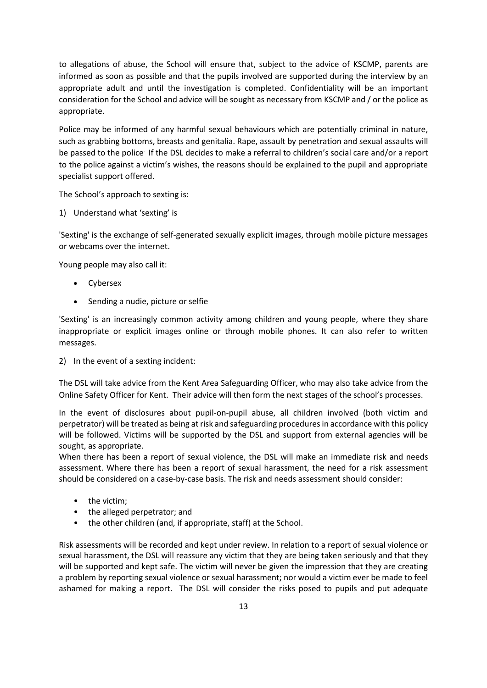to allegations of abuse, the School will ensure that, subject to the advice of KSCMP, parents are informed as soon as possible and that the pupils involved are supported during the interview by an appropriate adult and until the investigation is completed. Confidentiality will be an important consideration for the School and advice will be sought as necessary from KSCMP and / or the police as appropriate.

Police may be informed of any harmful sexual behaviours which are potentially criminal in nature, such as grabbing bottoms, breasts and genitalia. Rape, assault by penetration and sexual assaults will be passed to the police. If the DSL decides to make a referral to children's social care and/or a report to the police against a victim's wishes, the reasons should be explained to the pupil and appropriate specialist support offered.

The School's approach to sexting is:

1) Understand what 'sexting' is

'Sexting' is the exchange of self-generated sexually explicit images, through mobile picture messages or webcams over the internet.

Young people may also call it:

- Cybersex
- Sending a nudie, picture or selfie

'Sexting' is an increasingly common activity among children and young people, where they share inappropriate or explicit images online or through mobile phones. It can also refer to written messages.

2) In the event of a sexting incident:

The DSL will take advice from the Kent Area Safeguarding Officer, who may also take advice from the Online Safety Officer for Kent. Their advice will then form the next stages of the school's processes.

In the event of disclosures about pupil-on-pupil abuse, all children involved (both victim and perpetrator) will be treated as being at risk and safeguarding procedures in accordance with this policy will be followed. Victims will be supported by the DSL and support from external agencies will be sought, as appropriate.

When there has been a report of sexual violence, the DSL will make an immediate risk and needs assessment. Where there has been a report of sexual harassment, the need for a risk assessment should be considered on a case-by-case basis. The risk and needs assessment should consider:

- the victim;
- the alleged perpetrator; and
- the other children (and, if appropriate, staff) at the School.

Risk assessments will be recorded and kept under review. In relation to a report of sexual violence or sexual harassment, the DSL will reassure any victim that they are being taken seriously and that they will be supported and kept safe. The victim will never be given the impression that they are creating a problem by reporting sexual violence or sexual harassment; nor would a victim ever be made to feel ashamed for making a report. The DSL will consider the risks posed to pupils and put adequate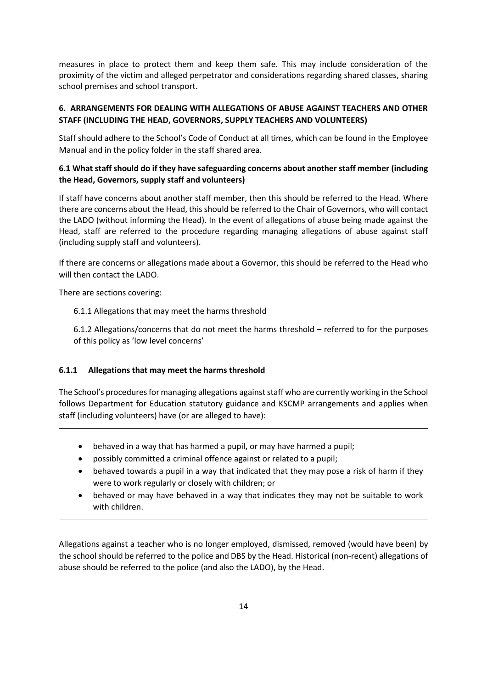measures in place to protect them and keep them safe. This may include consideration of the proximity of the victim and alleged perpetrator and considerations regarding shared classes, sharing school premises and school transport.

# <span id="page-13-0"></span>**6. ARRANGEMENTS FOR DEALING WITH ALLEGATIONS OF ABUSE AGAINST TEACHERS AND OTHER STAFF (INCLUDING THE HEAD, GOVERNORS, SUPPLY TEACHERS AND VOLUNTEERS)**

Staff should adhere to the School's Code of Conduct at all times, which can be found in the Employee Manual and in the policy folder in the staff shared area.

# **6.1 What staff should do if they have safeguarding concerns about another staff member (including the Head, Governors, supply staff and volunteers)**

If staff have concerns about another staff member, then this should be referred to the Head. Where there are concerns about the Head, this should be referred to the Chair of Governors, who will contact the LADO (without informing the Head). In the event of allegations of abuse being made against the Head, staff are referred to the procedure regarding managing allegations of abuse against staff (including supply staff and volunteers).

If there are concerns or allegations made about a Governor, this should be referred to the Head who will then contact the LADO.

There are sections covering:

6.1.1 Allegations that may meet the harms threshold

6.1.2 Allegations/concerns that do not meet the harms threshold – referred to for the purposes of this policy as 'low level concerns'

# **6.1.1 Allegations that may meet the harms threshold**

The School's procedures for managing allegations against staff who are currently working in the School follows Department for Education statutory guidance and KSCMP arrangements and applies when staff (including volunteers) have (or are alleged to have):

- behaved in a way that has harmed a pupil, or may have harmed a pupil;
- possibly committed a criminal offence against or related to a pupil;
- behaved towards a pupil in a way that indicated that they may pose a risk of harm if they were to work regularly or closely with children; or
- behaved or may have behaved in a way that indicates they may not be suitable to work with children.

Allegations against a teacher who is no longer employed, dismissed, removed (would have been) by the school should be referred to the police and DBS by the Head. Historical (non-recent) allegations of abuse should be referred to the police (and also the LADO), by the Head.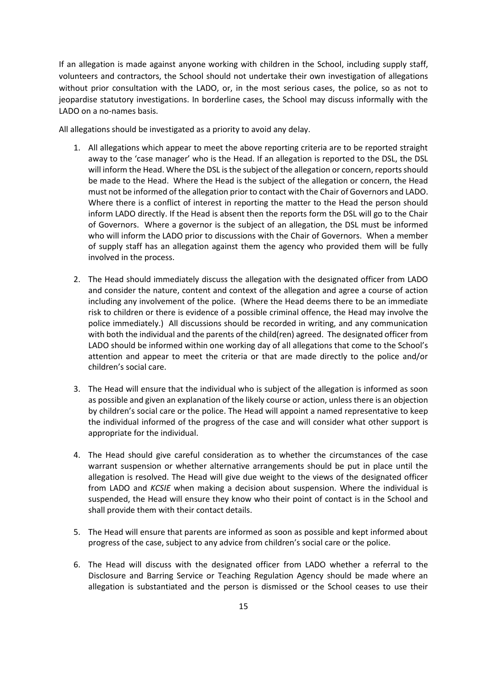If an allegation is made against anyone working with children in the School, including supply staff, volunteers and contractors, the School should not undertake their own investigation of allegations without prior consultation with the LADO, or, in the most serious cases, the police, so as not to jeopardise statutory investigations. In borderline cases, the School may discuss informally with the LADO on a no-names basis.

All allegations should be investigated as a priority to avoid any delay.

- 1. All allegations which appear to meet the above reporting criteria are to be reported straight away to the 'case manager' who is the Head. If an allegation is reported to the DSL, the DSL will inform the Head. Where the DSL is the subject of the allegation or concern, reports should be made to the Head. Where the Head is the subject of the allegation or concern, the Head must not be informed of the allegation prior to contact with the Chair of Governors and LADO. Where there is a conflict of interest in reporting the matter to the Head the person should inform LADO directly. If the Head is absent then the reports form the DSL will go to the Chair of Governors. Where a governor is the subject of an allegation, the DSL must be informed who will inform the LADO prior to discussions with the Chair of Governors. When a member of supply staff has an allegation against them the agency who provided them will be fully involved in the process.
- 2. The Head should immediately discuss the allegation with the designated officer from LADO and consider the nature, content and context of the allegation and agree a course of action including any involvement of the police. (Where the Head deems there to be an immediate risk to children or there is evidence of a possible criminal offence, the Head may involve the police immediately.) All discussions should be recorded in writing, and any communication with both the individual and the parents of the child(ren) agreed. The designated officer from LADO should be informed within one working day of all allegations that come to the School's attention and appear to meet the criteria or that are made directly to the police and/or children's social care.
- 3. The Head will ensure that the individual who is subject of the allegation is informed as soon as possible and given an explanation of the likely course or action, unless there is an objection by children's social care or the police. The Head will appoint a named representative to keep the individual informed of the progress of the case and will consider what other support is appropriate for the individual.
- 4. The Head should give careful consideration as to whether the circumstances of the case warrant suspension or whether alternative arrangements should be put in place until the allegation is resolved. The Head will give due weight to the views of the designated officer from LADO and *KCSIE* when making a decision about suspension. Where the individual is suspended, the Head will ensure they know who their point of contact is in the School and shall provide them with their contact details.
- 5. The Head will ensure that parents are informed as soon as possible and kept informed about progress of the case, subject to any advice from children's social care or the police.
- 6. The Head will discuss with the designated officer from LADO whether a referral to the Disclosure and Barring Service or Teaching Regulation Agency should be made where an allegation is substantiated and the person is dismissed or the School ceases to use their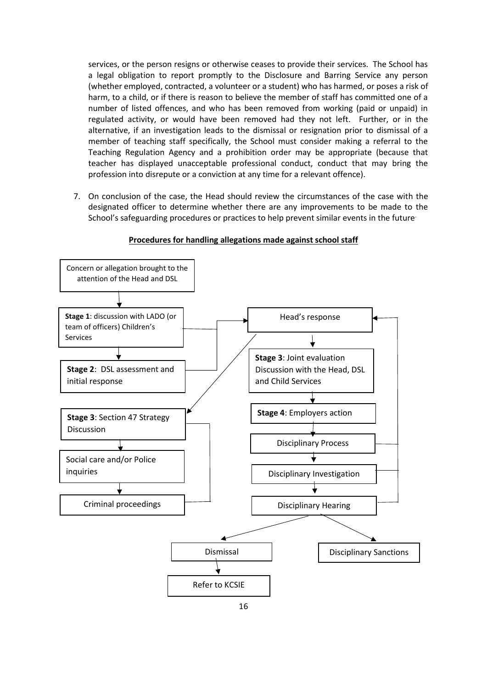services, or the person resigns or otherwise ceases to provide their services. The School has a legal obligation to report promptly to the Disclosure and Barring Service any person (whether employed, contracted, a volunteer or a student) who has harmed, or poses a risk of harm, to a child, or if there is reason to believe the member of staff has committed one of a number of listed offences, and who has been removed from working (paid or unpaid) in regulated activity, or would have been removed had they not left. Further, or in the alternative, if an investigation leads to the dismissal or resignation prior to dismissal of a member of teaching staff specifically, the School must consider making a referral to the Teaching Regulation Agency and a prohibition order may be appropriate (because that teacher has displayed unacceptable professional conduct, conduct that may bring the profession into disrepute or a conviction at any time for a relevant offence).

7. On conclusion of the case, the Head should review the circumstances of the case with the designated officer to determine whether there are any improvements to be made to the School's safeguarding procedures or practices to help prevent similar events in the future.



#### **Procedures for handling allegations made against school staff**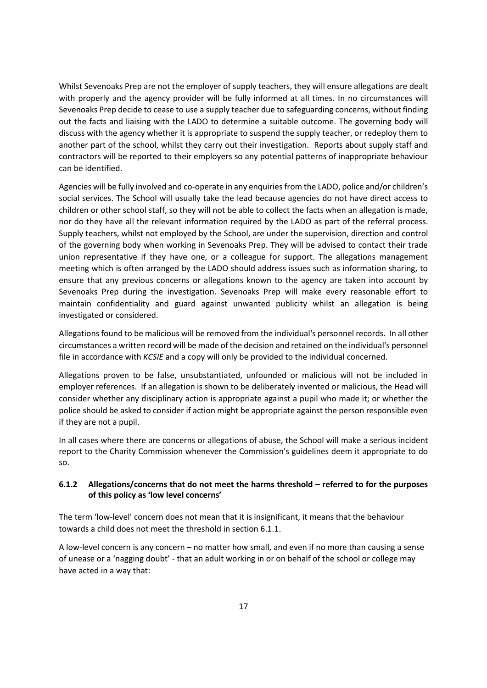Whilst Sevenoaks Prep are not the employer of supply teachers, they will ensure allegations are dealt with properly and the agency provider will be fully informed at all times. In no circumstances will Sevenoaks Prep decide to cease to use a supply teacher due to safeguarding concerns, without finding out the facts and liaising with the LADO to determine a suitable outcome. The governing body will discuss with the agency whether it is appropriate to suspend the supply teacher, or redeploy them to another part of the school, whilst they carry out their investigation. Reports about supply staff and contractors will be reported to their employers so any potential patterns of inappropriate behaviour can be identified.

Agencies will be fully involved and co-operate in any enquiries from the LADO, police and/or children's social services. The School will usually take the lead because agencies do not have direct access to children or other school staff, so they will not be able to collect the facts when an allegation is made, nor do they have all the relevant information required by the LADO as part of the referral process. Supply teachers, whilst not employed by the School, are under the supervision, direction and control of the governing body when working in Sevenoaks Prep. They will be advised to contact their trade union representative if they have one, or a colleague for support. The allegations management meeting which is often arranged by the LADO should address issues such as information sharing, to ensure that any previous concerns or allegations known to the agency are taken into account by Sevenoaks Prep during the investigation. Sevenoaks Prep will make every reasonable effort to maintain confidentiality and guard against unwanted publicity whilst an allegation is being investigated or considered.

Allegations found to be malicious will be removed from the individual's personnel records. In all other circumstances a written record will be made of the decision and retained on the individual's personnel file in accordance with *KCSIE* and a copy will only be provided to the individual concerned.

Allegations proven to be false, unsubstantiated, unfounded or malicious will not be included in employer references. If an allegation is shown to be deliberately invented or malicious, the Head will consider whether any disciplinary action is appropriate against a pupil who made it; or whether the police should be asked to consider if action might be appropriate against the person responsible even if they are not a pupil.

In all cases where there are concerns or allegations of abuse, the School will make a serious incident report to the Charity Commission whenever the Commission's guidelines deem it appropriate to do so.

# **6.1.2 Allegations/concerns that do not meet the harms threshold – referred to for the purposes of this policy as 'low level concerns'**

The term 'low-level' concern does not mean that it is insignificant, it means that the behaviour towards a child does not meet the threshold in section 6.1.1.

A low-level concern is any concern – no matter how small, and even if no more than causing a sense of unease or a 'nagging doubt' - that an adult working in or on behalf of the school or college may have acted in a way that: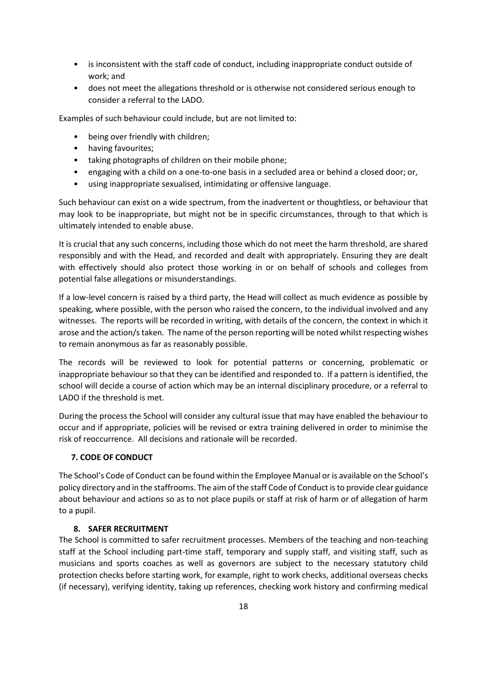- is inconsistent with the staff code of conduct, including inappropriate conduct outside of work; and
- does not meet the allegations threshold or is otherwise not considered serious enough to consider a referral to the LADO.

Examples of such behaviour could include, but are not limited to:

- being over friendly with children;
- having favourites;
- taking photographs of children on their mobile phone;
- engaging with a child on a one-to-one basis in a secluded area or behind a closed door; or,
- using inappropriate sexualised, intimidating or offensive language.

Such behaviour can exist on a wide spectrum, from the inadvertent or thoughtless, or behaviour that may look to be inappropriate, but might not be in specific circumstances, through to that which is ultimately intended to enable abuse.

It is crucial that any such concerns, including those which do not meet the harm threshold, are shared responsibly and with the Head, and recorded and dealt with appropriately. Ensuring they are dealt with effectively should also protect those working in or on behalf of schools and colleges from potential false allegations or misunderstandings.

If a low-level concern is raised by a third party, the Head will collect as much evidence as possible by speaking, where possible, with the person who raised the concern, to the individual involved and any witnesses. The reports will be recorded in writing, with details of the concern, the context in which it arose and the action/s taken. The name of the person reporting will be noted whilst respecting wishes to remain anonymous as far as reasonably possible.

The records will be reviewed to look for potential patterns or concerning, problematic or inappropriate behaviour so that they can be identified and responded to. If a pattern is identified, the school will decide a course of action which may be an internal disciplinary procedure, or a referral to LADO if the threshold is met.

During the process the School will consider any cultural issue that may have enabled the behaviour to occur and if appropriate, policies will be revised or extra training delivered in order to minimise the risk of reoccurrence. All decisions and rationale will be recorded.

# <span id="page-17-0"></span> **7. CODE OF CONDUCT**

The School's Code of Conduct can be found within the Employee Manual or is available on the School's policy directory and in the staffrooms. The aim of the staff Code of Conduct is to provide clear guidance about behaviour and actions so as to not place pupils or staff at risk of harm or of allegation of harm to a pupil.

# **8. SAFER RECRUITMENT**

<span id="page-17-1"></span>The School is committed to safer recruitment processes. Members of the teaching and non-teaching staff at the School including part-time staff, temporary and supply staff, and visiting staff, such as musicians and sports coaches as well as governors are subject to the necessary statutory child protection checks before starting work, for example, right to work checks, additional overseas checks (if necessary), verifying identity, taking up references, checking work history and confirming medical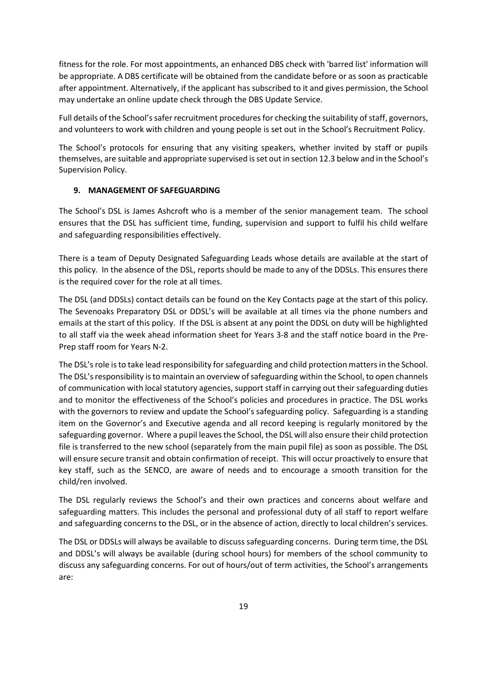fitness for the role. For most appointments, an enhanced DBS check with 'barred list' information will be appropriate. A DBS certificate will be obtained from the candidate before or as soon as practicable after appointment. Alternatively, if the applicant has subscribed to it and gives permission, the School may undertake an online update check through the DBS Update Service.

Full details of the School's safer recruitment procedures for checking the suitability of staff, governors, and volunteers to work with children and young people is set out in the School's Recruitment Policy.

The School's protocols for ensuring that any visiting speakers, whether invited by staff or pupils themselves, are suitable and appropriate supervised is set out in section 12.3 below and in the School's Supervision Policy.

### <span id="page-18-0"></span>**9. MANAGEMENT OF SAFEGUARDING**

The School's DSL is James Ashcroft who is a member of the senior management team. The school ensures that the DSL has sufficient time, funding, supervision and support to fulfil his child welfare and safeguarding responsibilities effectively.

There is a team of Deputy Designated Safeguarding Leads whose details are available at the start of this policy. In the absence of the DSL, reports should be made to any of the DDSLs. This ensures there is the required cover for the role at all times.

The DSL (and DDSLs) contact details can be found on the Key Contacts page at the start of this policy. The Sevenoaks Preparatory DSL or DDSL's will be available at all times via the phone numbers and emails at the start of this policy. If the DSL is absent at any point the DDSL on duty will be highlighted to all staff via the week ahead information sheet for Years 3-8 and the staff notice board in the Pre-Prep staff room for Years N-2.

The DSL's role is to take lead responsibility for safeguarding and child protection matters in the School. The DSL's responsibility is to maintain an overview of safeguarding within the School, to open channels of communication with local statutory agencies, support staff in carrying out their safeguarding duties and to monitor the effectiveness of the School's policies and procedures in practice. The DSL works with the governors to review and update the School's safeguarding policy. Safeguarding is a standing item on the Governor's and Executive agenda and all record keeping is regularly monitored by the safeguarding governor. Where a pupil leaves the School, the DSL will also ensure their child protection file is transferred to the new school (separately from the main pupil file) as soon as possible. The DSL will ensure secure transit and obtain confirmation of receipt. This will occur proactively to ensure that key staff, such as the SENCO, are aware of needs and to encourage a smooth transition for the child/ren involved.

The DSL regularly reviews the School's and their own practices and concerns about welfare and safeguarding matters. This includes the personal and professional duty of all staff to report welfare and safeguarding concerns to the DSL, or in the absence of action, directly to local children's services.

The DSL or DDSLs will always be available to discuss safeguarding concerns. During term time, the DSL and DDSL's will always be available (during school hours) for members of the school community to discuss any safeguarding concerns. For out of hours/out of term activities, the School's arrangements are: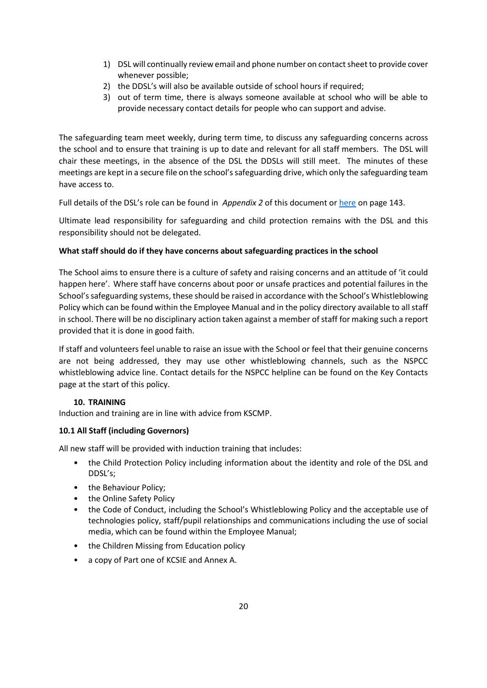- 1) DSL will continually review email and phone number on contact sheet to provide cover whenever possible;
- 2) the DDSL's will also be available outside of school hours if required;
- 3) out of term time, there is always someone available at school who will be able to provide necessary contact details for people who can support and advise.

The safeguarding team meet weekly, during term time, to discuss any safeguarding concerns across the school and to ensure that training is up to date and relevant for all staff members. The DSL will chair these meetings, in the absence of the DSL the DDSLs will still meet. The minutes of these meetings are kept in a secure file on the school's safeguarding drive, which only the safeguarding team have access to.

Full details of the DSL's role can be found in *Appendix 2* of this document o[r here](https://assets.publishing.service.gov.uk/government/uploads/system/uploads/attachment_data/file/1021914/KCSIE_2021_September_guidance.pdf) on page 143.

Ultimate lead responsibility for safeguarding and child protection remains with the DSL and this responsibility should not be delegated.

# **What staff should do if they have concerns about safeguarding practices in the school**

The School aims to ensure there is a culture of safety and raising concerns and an attitude of 'it could happen here'. Where staff have concerns about poor or unsafe practices and potential failures in the School's safeguarding systems, these should be raised in accordance with the School's Whistleblowing Policy which can be found within the Employee Manual and in the policy directory available to all staff in school. There will be no disciplinary action taken against a member of staff for making such a report provided that it is done in good faith.

If staff and volunteers feel unable to raise an issue with the School or feel that their genuine concerns are not being addressed, they may use other whistleblowing channels, such as the NSPCC whistleblowing advice line. Contact details for the NSPCC helpline can be found on the Key Contacts page at the start of this policy.

# **10. TRAINING**

<span id="page-19-0"></span>Induction and training are in line with advice from KSCMP.

# **10.1 All Staff (including Governors)**

All new staff will be provided with induction training that includes:

- the Child Protection Policy including information about the identity and role of the DSL and DDSL's;
- the Behaviour Policy;
- the Online Safety Policy
- the Code of Conduct, including the School's Whistleblowing Policy and the acceptable use of technologies policy, staff/pupil relationships and communications including the use of social media, which can be found within the Employee Manual;
- the Children Missing from Education policy
- a copy of Part one of KCSIE and Annex A.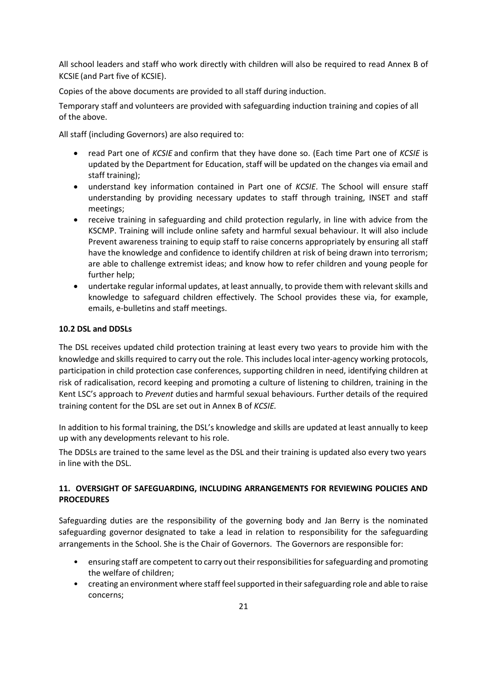All school leaders and staff who work directly with children will also be required to read Annex B of KCSIE (and Part five of KCSIE).

Copies of the above documents are provided to all staff during induction.

Temporary staff and volunteers are provided with safeguarding induction training and copies of all of the above.

All staff (including Governors) are also required to:

- read Part one of *KCSIE* and confirm that they have done so. (Each time Part one of *KCSIE* is updated by the Department for Education, staff will be updated on the changes via email and staff training);
- understand key information contained in Part one of *KCSIE*. The School will ensure staff understanding by providing necessary updates to staff through training, INSET and staff meetings;
- receive training in safeguarding and child protection regularly, in line with advice from the KSCMP. Training will include online safety and harmful sexual behaviour. It will also include Prevent awareness training to equip staff to raise concerns appropriately by ensuring all staff have the knowledge and confidence to identify children at risk of being drawn into terrorism; are able to challenge extremist ideas; and know how to refer children and young people for further help;
- undertake regular informal updates, at least annually, to provide them with relevant skills and knowledge to safeguard children effectively. The School provides these via, for example, emails, e-bulletins and staff meetings.

# **10.2 DSL and DDSLs**

The DSL receives updated child protection training at least every two years to provide him with the knowledge and skills required to carry out the role. This includes local inter-agency working protocols, participation in child protection case conferences, supporting children in need, identifying children at risk of radicalisation, record keeping and promoting a culture of listening to children, training in the Kent LSC's approach to *Prevent* duties and harmful sexual behaviours. Further details of the required training content for the DSL are set out in Annex B of *KCSIE.*

In addition to his formal training, the DSL's knowledge and skills are updated at least annually to keep up with any developments relevant to his role.

The DDSLs are trained to the same level as the DSL and their training is updated also every two years in line with the DSL.

# <span id="page-20-0"></span>**11. OVERSIGHT OF SAFEGUARDING, INCLUDING ARRANGEMENTS FOR REVIEWING POLICIES AND PROCEDURES**

Safeguarding duties are the responsibility of the governing body and Jan Berry is the nominated safeguarding governor designated to take a lead in relation to responsibility for the safeguarding arrangements in the School. She is the Chair of Governors. The Governors are responsible for:

- ensuring staff are competent to carry out their responsibilities for safeguarding and promoting the welfare of children;
- creating an environment where staff feel supported in their safeguarding role and able to raise concerns;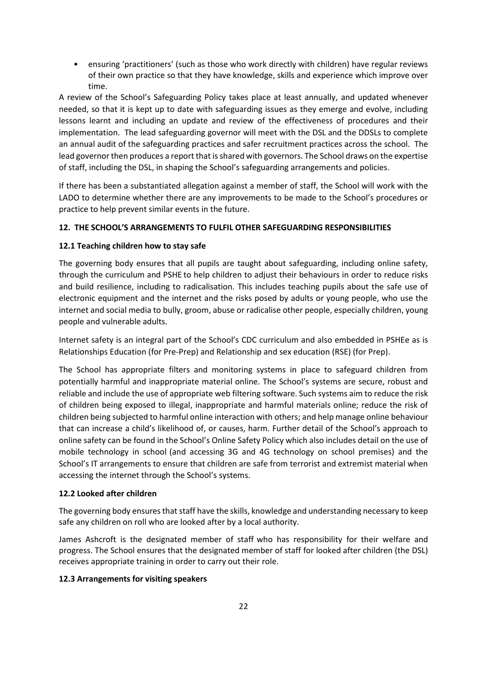• ensuring 'practitioners' (such as those who work directly with children) have regular reviews of their own practice so that they have knowledge, skills and experience which improve over time.

A review of the School's Safeguarding Policy takes place at least annually, and updated whenever needed, so that it is kept up to date with safeguarding issues as they emerge and evolve, including lessons learnt and including an update and review of the effectiveness of procedures and their implementation. The lead safeguarding governor will meet with the DSL and the DDSLs to complete an annual audit of the safeguarding practices and safer recruitment practices across the school. The lead governor then produces a report that is shared with governors. The School draws on the expertise of staff, including the DSL, in shaping the School's safeguarding arrangements and policies.

If there has been a substantiated allegation against a member of staff, the School will work with the LADO to determine whether there are any improvements to be made to the School's procedures or practice to help prevent similar events in the future.

# <span id="page-21-0"></span>**12. THE SCHOOL'S ARRANGEMENTS TO FULFIL OTHER SAFEGUARDING RESPONSIBILITIES**

# **12.1 Teaching children how to stay safe**

The governing body ensures that all pupils are taught about safeguarding, including online safety, through the curriculum and PSHE to help children to adjust their behaviours in order to reduce risks and build resilience, including to radicalisation. This includes teaching pupils about the safe use of electronic equipment and the internet and the risks posed by adults or young people, who use the internet and social media to bully, groom, abuse or radicalise other people, especially children, young people and vulnerable adults.

Internet safety is an integral part of the School's CDC curriculum and also embedded in PSHEe as is Relationships Education (for Pre-Prep) and Relationship and sex education (RSE) (for Prep).

The School has appropriate filters and monitoring systems in place to safeguard children from potentially harmful and inappropriate material online. The School's systems are secure, robust and reliable and include the use of appropriate web filtering software. Such systems aim to reduce the risk of children being exposed to illegal, inappropriate and harmful materials online; reduce the risk of children being subjected to harmful online interaction with others; and help manage online behaviour that can increase a child's likelihood of, or causes, harm. Further detail of the School's approach to online safety can be found in the School's Online Safety Policy which also includes detail on the use of mobile technology in school (and accessing 3G and 4G technology on school premises) and the School's IT arrangements to ensure that children are safe from terrorist and extremist material when accessing the internet through the School's systems.

# **12.2 Looked after children**

The governing body ensures that staff have the skills, knowledge and understanding necessary to keep safe any children on roll who are looked after by a local authority.

James Ashcroft is the designated member of staff who has responsibility for their welfare and progress. The School ensures that the designated member of staff for looked after children (the DSL) receives appropriate training in order to carry out their role.

# **12.3 Arrangements for visiting speakers**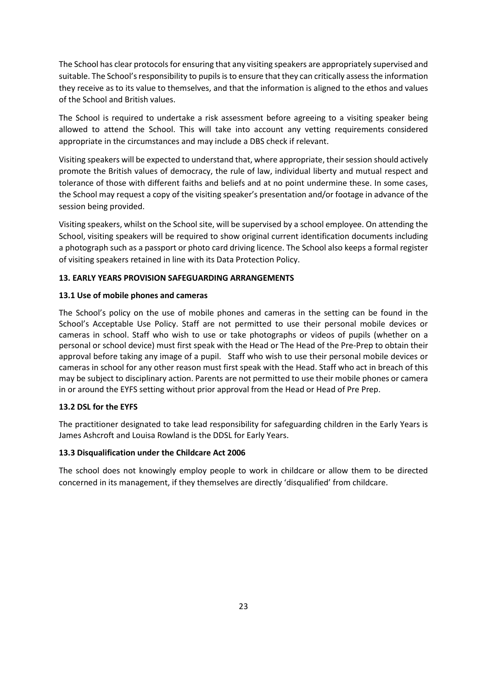The School has clear protocols for ensuring that any visiting speakers are appropriately supervised and suitable. The School's responsibility to pupils is to ensure that they can critically assess the information they receive as to its value to themselves, and that the information is aligned to the ethos and values of the School and British values.

The School is required to undertake a risk assessment before agreeing to a visiting speaker being allowed to attend the School. This will take into account any vetting requirements considered appropriate in the circumstances and may include a DBS check if relevant.

Visiting speakers will be expected to understand that, where appropriate, their session should actively promote the British values of democracy, the rule of law, individual liberty and mutual respect and tolerance of those with different faiths and beliefs and at no point undermine these. In some cases, the School may request a copy of the visiting speaker's presentation and/or footage in advance of the session being provided.

Visiting speakers, whilst on the School site, will be supervised by a school employee. On attending the School, visiting speakers will be required to show original current identification documents including a photograph such as a passport or photo card driving licence. The School also keeps a formal register of visiting speakers retained in line with its Data Protection Policy.

### <span id="page-22-0"></span>**13. EARLY YEARS PROVISION SAFEGUARDING ARRANGEMENTS**

### **13.1 Use of mobile phones and cameras**

The School's policy on the use of mobile phones and cameras in the setting can be found in the School's Acceptable Use Policy. Staff are not permitted to use their personal mobile devices or cameras in school. Staff who wish to use or take photographs or videos of pupils (whether on a personal or school device) must first speak with the Head or The Head of the Pre-Prep to obtain their approval before taking any image of a pupil. Staff who wish to use their personal mobile devices or cameras in school for any other reason must first speak with the Head. Staff who act in breach of this may be subject to disciplinary action. Parents are not permitted to use their mobile phones or camera in or around the EYFS setting without prior approval from the Head or Head of Pre Prep.

# **13.2 DSL for the EYFS**

The practitioner designated to take lead responsibility for safeguarding children in the Early Years is James Ashcroft and Louisa Rowland is the DDSL for Early Years.

### **13.3 Disqualification under the Childcare Act 2006**

The school does not knowingly employ people to work in childcare or allow them to be directed concerned in its management, if they themselves are directly 'disqualified' from childcare.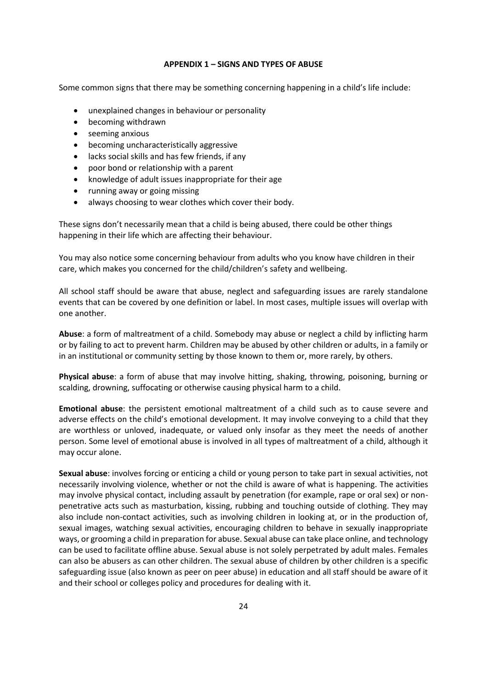#### **APPENDIX 1 – SIGNS AND TYPES OF ABUSE**

<span id="page-23-0"></span>Some common signs that there may be something concerning happening in a child's life include:

- unexplained changes in behaviour or personality
- becoming withdrawn
- seeming anxious
- becoming uncharacteristically aggressive
- lacks social skills and has few friends, if any
- poor bond or relationship with a parent
- knowledge of adult issues inappropriate for their age
- running away or going missing
- always choosing to wear clothes which cover their body.

These signs don't necessarily mean that a child is being abused, there could be other things happening in their life which are affecting their behaviour.

You may also notice some concerning behaviour from adults who you know have children in their care, which makes you concerned for the child/children's safety and wellbeing.

All school staff should be aware that abuse, neglect and safeguarding issues are rarely standalone events that can be covered by one definition or label. In most cases, multiple issues will overlap with one another.

**Abuse**: a form of maltreatment of a child. Somebody may abuse or neglect a child by inflicting harm or by failing to act to prevent harm. Children may be abused by other children or adults, in a family or in an institutional or community setting by those known to them or, more rarely, by others.

**Physical abuse**: a form of abuse that may involve hitting, shaking, throwing, poisoning, burning or scalding, drowning, suffocating or otherwise causing physical harm to a child.

**Emotional abuse**: the persistent emotional maltreatment of a child such as to cause severe and adverse effects on the child's emotional development. It may involve conveying to a child that they are worthless or unloved, inadequate, or valued only insofar as they meet the needs of another person. Some level of emotional abuse is involved in all types of maltreatment of a child, although it may occur alone.

**Sexual abuse**: involves forcing or enticing a child or young person to take part in sexual activities, not necessarily involving violence, whether or not the child is aware of what is happening. The activities may involve physical contact, including assault by penetration (for example, rape or oral sex) or nonpenetrative acts such as masturbation, kissing, rubbing and touching outside of clothing. They may also include non-contact activities, such as involving children in looking at, or in the production of, sexual images, watching sexual activities, encouraging children to behave in sexually inappropriate ways, or grooming a child in preparation for abuse. Sexual abuse can take place online, and technology can be used to facilitate offline abuse. Sexual abuse is not solely perpetrated by adult males. Females can also be abusers as can other children. The sexual abuse of children by other children is a specific safeguarding issue (also known as peer on peer abuse) in education and all staff should be aware of it and their school or colleges policy and procedures for dealing with it.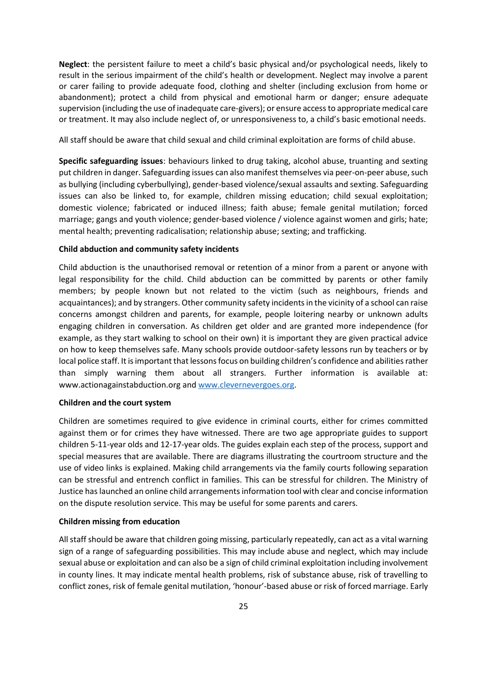**Neglect**: the persistent failure to meet a child's basic physical and/or psychological needs, likely to result in the serious impairment of the child's health or development. Neglect may involve a parent or carer failing to provide adequate food, clothing and shelter (including exclusion from home or abandonment); protect a child from physical and emotional harm or danger; ensure adequate supervision (including the use of inadequate care-givers); or ensure access to appropriate medical care or treatment. It may also include neglect of, or unresponsiveness to, a child's basic emotional needs.

All staff should be aware that child sexual and child criminal exploitation are forms of child abuse.

**Specific safeguarding issues**: behaviours linked to drug taking, alcohol abuse, truanting and sexting put children in danger. Safeguarding issues can also manifest themselves via peer-on-peer abuse, such as bullying (including cyberbullying), gender-based violence/sexual assaults and sexting. Safeguarding issues can also be linked to, for example, children missing education; child sexual exploitation; domestic violence; fabricated or induced illness; faith abuse; female genital mutilation; forced marriage; gangs and youth violence; gender-based violence / violence against women and girls; hate; mental health; preventing radicalisation; relationship abuse; sexting; and trafficking.

#### **Child abduction and community safety incidents**

Child abduction is the unauthorised removal or retention of a minor from a parent or anyone with legal responsibility for the child. Child abduction can be committed by parents or other family members; by people known but not related to the victim (such as neighbours, friends and acquaintances); and by strangers. Other community safety incidents in the vicinity of a school can raise concerns amongst children and parents, for example, people loitering nearby or unknown adults engaging children in conversation. As children get older and are granted more independence (for example, as they start walking to school on their own) it is important they are given practical advice on how to keep themselves safe. Many schools provide outdoor-safety lessons run by teachers or by local police staff. It is important that lessons focus on building children's confidence and abilities rather than simply warning them about all strangers. Further information is available at: www.actionagainstabduction.org an[d www.clevernevergoes.org.](http://www.clevernevergoes.org/)

#### **Children and the court system**

Children are sometimes required to give evidence in criminal courts, either for crimes committed against them or for crimes they have witnessed. There are two age appropriate guides to support children 5-11-year olds and 12-17-year olds. The guides explain each step of the process, support and special measures that are available. There are diagrams illustrating the courtroom structure and the use of video links is explained. Making child arrangements via the family courts following separation can be stressful and entrench conflict in families. This can be stressful for children. The Ministry of Justice has launched an online child arrangements information tool with clear and concise information on the dispute resolution service. This may be useful for some parents and carers.

#### **Children missing from education**

All staff should be aware that children going missing, particularly repeatedly, can act as a vital warning sign of a range of safeguarding possibilities. This may include abuse and neglect, which may include sexual abuse or exploitation and can also be a sign of child criminal exploitation including involvement in county lines. It may indicate mental health problems, risk of substance abuse, risk of travelling to conflict zones, risk of female genital mutilation, 'honour'-based abuse or risk of forced marriage. Early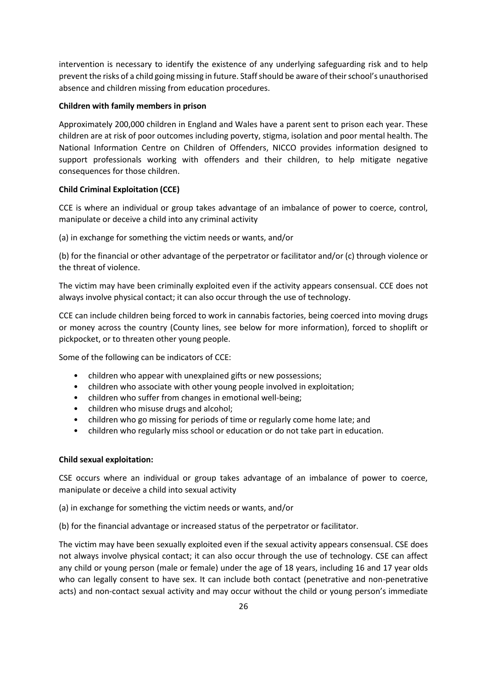intervention is necessary to identify the existence of any underlying safeguarding risk and to help prevent the risks of a child going missing in future. Staff should be aware of their school's unauthorised absence and children missing from education procedures.

### **Children with family members in prison**

Approximately 200,000 children in England and Wales have a parent sent to prison each year. These children are at risk of poor outcomes including poverty, stigma, isolation and poor mental health. The National Information Centre on Children of Offenders, NICCO provides information designed to support professionals working with offenders and their children, to help mitigate negative consequences for those children.

### **Child Criminal Exploitation (CCE)**

CCE is where an individual or group takes advantage of an imbalance of power to coerce, control, manipulate or deceive a child into any criminal activity

(a) in exchange for something the victim needs or wants, and/or

(b) for the financial or other advantage of the perpetrator or facilitator and/or (c) through violence or the threat of violence.

The victim may have been criminally exploited even if the activity appears consensual. CCE does not always involve physical contact; it can also occur through the use of technology.

CCE can include children being forced to work in cannabis factories, being coerced into moving drugs or money across the country (County lines, see below for more information), forced to shoplift or pickpocket, or to threaten other young people.

Some of the following can be indicators of CCE:

- children who appear with unexplained gifts or new possessions;
- children who associate with other young people involved in exploitation;
- children who suffer from changes in emotional well-being;
- children who misuse drugs and alcohol;
- children who go missing for periods of time or regularly come home late; and
- children who regularly miss school or education or do not take part in education.

### **Child sexual exploitation:**

CSE occurs where an individual or group takes advantage of an imbalance of power to coerce, manipulate or deceive a child into sexual activity

(a) in exchange for something the victim needs or wants, and/or

(b) for the financial advantage or increased status of the perpetrator or facilitator.

The victim may have been sexually exploited even if the sexual activity appears consensual. CSE does not always involve physical contact; it can also occur through the use of technology. CSE can affect any child or young person (male or female) under the age of 18 years, including 16 and 17 year olds who can legally consent to have sex. It can include both contact (penetrative and non-penetrative acts) and non-contact sexual activity and may occur without the child or young person's immediate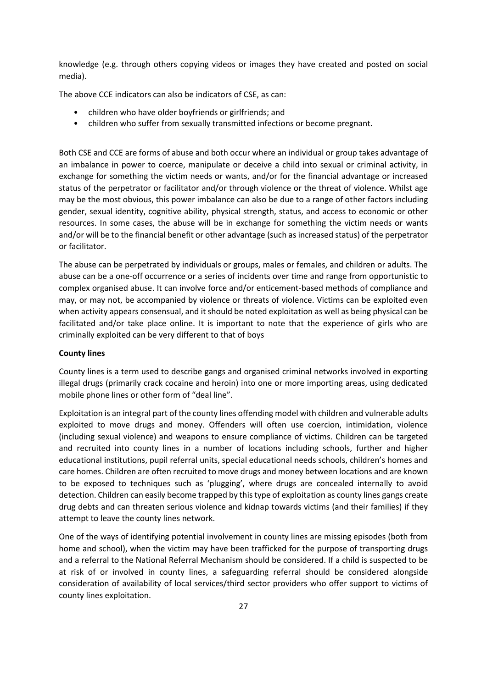knowledge (e.g. through others copying videos or images they have created and posted on social media).

The above CCE indicators can also be indicators of CSE, as can:

- children who have older boyfriends or girlfriends; and
- children who suffer from sexually transmitted infections or become pregnant.

Both CSE and CCE are forms of abuse and both occur where an individual or group takes advantage of an imbalance in power to coerce, manipulate or deceive a child into sexual or criminal activity, in exchange for something the victim needs or wants, and/or for the financial advantage or increased status of the perpetrator or facilitator and/or through violence or the threat of violence. Whilst age may be the most obvious, this power imbalance can also be due to a range of other factors including gender, sexual identity, cognitive ability, physical strength, status, and access to economic or other resources. In some cases, the abuse will be in exchange for something the victim needs or wants and/or will be to the financial benefit or other advantage (such as increased status) of the perpetrator or facilitator.

The abuse can be perpetrated by individuals or groups, males or females, and children or adults. The abuse can be a one-off occurrence or a series of incidents over time and range from opportunistic to complex organised abuse. It can involve force and/or enticement-based methods of compliance and may, or may not, be accompanied by violence or threats of violence. Victims can be exploited even when activity appears consensual, and it should be noted exploitation as well as being physical can be facilitated and/or take place online. It is important to note that the experience of girls who are criminally exploited can be very different to that of boys

### **County lines**

County lines is a term used to describe gangs and organised criminal networks involved in exporting illegal drugs (primarily crack cocaine and heroin) into one or more importing areas, using dedicated mobile phone lines or other form of "deal line".

Exploitation is an integral part of the county lines offending model with children and vulnerable adults exploited to move drugs and money. Offenders will often use coercion, intimidation, violence (including sexual violence) and weapons to ensure compliance of victims. Children can be targeted and recruited into county lines in a number of locations including schools, further and higher educational institutions, pupil referral units, special educational needs schools, children's homes and care homes. Children are often recruited to move drugs and money between locations and are known to be exposed to techniques such as 'plugging', where drugs are concealed internally to avoid detection. Children can easily become trapped by this type of exploitation as county lines gangs create drug debts and can threaten serious violence and kidnap towards victims (and their families) if they attempt to leave the county lines network.

One of the ways of identifying potential involvement in county lines are missing episodes (both from home and school), when the victim may have been trafficked for the purpose of transporting drugs and a referral to the National Referral Mechanism should be considered. If a child is suspected to be at risk of or involved in county lines, a safeguarding referral should be considered alongside consideration of availability of local services/third sector providers who offer support to victims of county lines exploitation.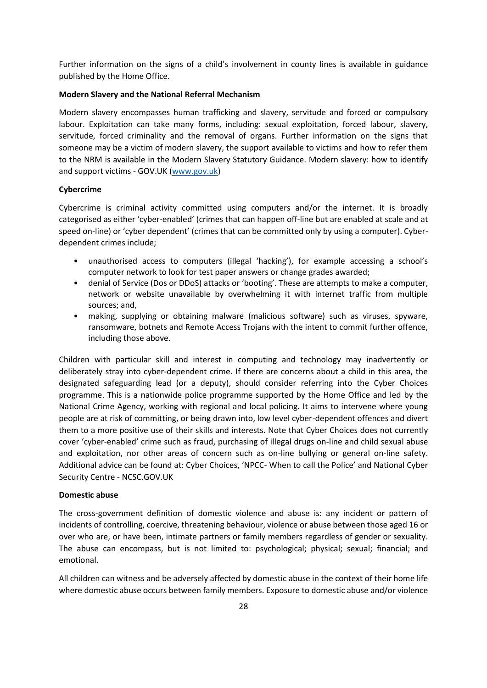Further information on the signs of a child's involvement in county lines is available in guidance published by the Home Office.

#### **Modern Slavery and the National Referral Mechanism**

Modern slavery encompasses human trafficking and slavery, servitude and forced or compulsory labour. Exploitation can take many forms, including: sexual exploitation, forced labour, slavery, servitude, forced criminality and the removal of organs. Further information on the signs that someone may be a victim of modern slavery, the support available to victims and how to refer them to the NRM is available in the Modern Slavery Statutory Guidance. Modern slavery: how to identify and support victims - GOV.UK [\(www.gov.uk\)](http://www.gov.uk/)

#### **Cybercrime**

Cybercrime is criminal activity committed using computers and/or the internet. It is broadly categorised as either 'cyber-enabled' (crimes that can happen off-line but are enabled at scale and at speed on-line) or 'cyber dependent' (crimes that can be committed only by using a computer). Cyberdependent crimes include;

- unauthorised access to computers (illegal 'hacking'), for example accessing a school's computer network to look for test paper answers or change grades awarded;
- denial of Service (Dos or DDoS) attacks or 'booting'. These are attempts to make a computer, network or website unavailable by overwhelming it with internet traffic from multiple sources; and,
- making, supplying or obtaining malware (malicious software) such as viruses, spyware, ransomware, botnets and Remote Access Trojans with the intent to commit further offence, including those above.

Children with particular skill and interest in computing and technology may inadvertently or deliberately stray into cyber-dependent crime. If there are concerns about a child in this area, the designated safeguarding lead (or a deputy), should consider referring into the Cyber Choices programme. This is a nationwide police programme supported by the Home Office and led by the National Crime Agency, working with regional and local policing. It aims to intervene where young people are at risk of committing, or being drawn into, low level cyber-dependent offences and divert them to a more positive use of their skills and interests. Note that Cyber Choices does not currently cover 'cyber-enabled' crime such as fraud, purchasing of illegal drugs on-line and child sexual abuse and exploitation, nor other areas of concern such as on-line bullying or general on-line safety. Additional advice can be found at: Cyber Choices, 'NPCC- When to call the Police' and National Cyber Security Centre - NCSC.GOV.UK

#### **Domestic abuse**

The cross-government definition of domestic violence and abuse is: any incident or pattern of incidents of controlling, coercive, threatening behaviour, violence or abuse between those aged 16 or over who are, or have been, intimate partners or family members regardless of gender or sexuality. The abuse can encompass, but is not limited to: psychological; physical; sexual; financial; and emotional.

All children can witness and be adversely affected by domestic abuse in the context of their home life where domestic abuse occurs between family members. Exposure to domestic abuse and/or violence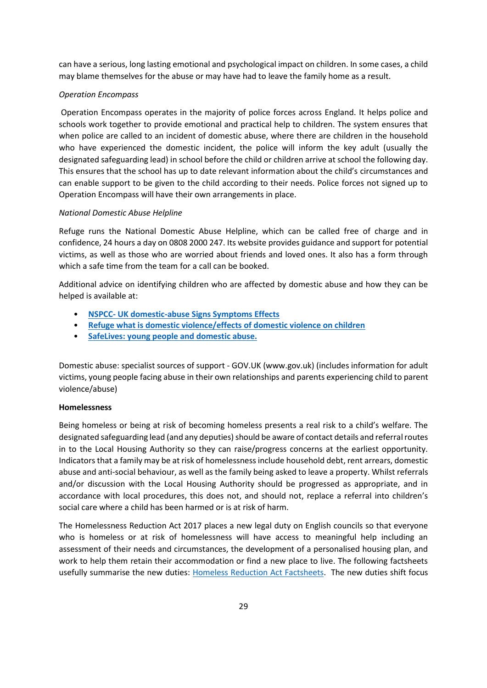can have a serious, long lasting emotional and psychological impact on children. In some cases, a child may blame themselves for the abuse or may have had to leave the family home as a result.

# *Operation Encompass*

Operation Encompass operates in the majority of police forces across England. It helps police and schools work together to provide emotional and practical help to children. The system ensures that when police are called to an incident of domestic abuse, where there are children in the household who have experienced the domestic incident, the police will inform the key adult (usually the designated safeguarding lead) in school before the child or children arrive at school the following day. This ensures that the school has up to date relevant information about the child's circumstances and can enable support to be given to the child according to their needs. Police forces not signed up to Operation Encompass will have their own arrangements in place.

### *National Domestic Abuse Helpline*

Refuge runs the National Domestic Abuse Helpline, which can be called free of charge and in confidence, 24 hours a day on 0808 2000 247. Its website provides guidance and support for potential victims, as well as those who are worried about friends and loved ones. It also has a form through which a safe time from the team for a call can be booked.

Additional advice on identifying children who are affected by domestic abuse and how they can be helped is available at:

- **NSPCC- [UK domestic-abuse Signs Symptoms Effects](https://www.nspcc.org.uk/what-is-child-abuse/types-of-abuse/domestic-abuse/)**
- **[Refuge what is domestic violence/effects of domestic violence on children](https://www.nationaldahelpline.org.uk/)**
- **[SafeLives: young people and domestic abuse.](https://safelives.org.uk/sites/default/files/resources/Safe%20Young%20Lives%20web.pdf)**

Domestic abuse: specialist sources of support - GOV.UK (www.gov.uk) (includes information for adult victims, young people facing abuse in their own relationships and parents experiencing child to parent violence/abuse)

### **Homelessness**

Being homeless or being at risk of becoming homeless presents a real risk to a child's welfare. The designated safeguarding lead (and any deputies) should be aware of contact details and referral routes in to the Local Housing Authority so they can raise/progress concerns at the earliest opportunity. Indicators that a family may be at risk of homelessness include household debt, rent arrears, domestic abuse and anti-social behaviour, as well as the family being asked to leave a property. Whilst referrals and/or discussion with the Local Housing Authority should be progressed as appropriate, and in accordance with local procedures, this does not, and should not, replace a referral into children's social care where a child has been harmed or is at risk of harm.

The Homelessness Reduction Act 2017 places a new legal duty on English councils so that everyone who is homeless or at risk of homelessness will have access to meaningful help including an assessment of their needs and circumstances, the development of a personalised housing plan, and work to help them retain their accommodation or find a new place to live. The following factsheets usefully summarise the new duties: [Homeless Reduction Act Factsheets.](https://www.gov.uk/government/publications/homelessness-reduction-bill-policy-factsheets) The new duties shift focus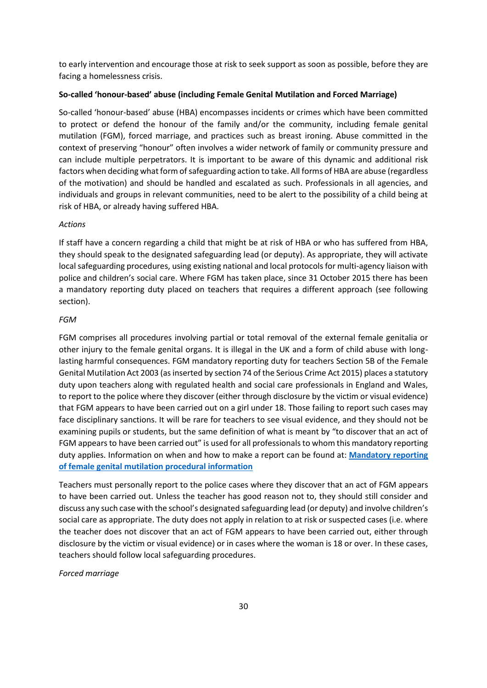to early intervention and encourage those at risk to seek support as soon as possible, before they are facing a homelessness crisis.

#### **So-called 'honour-based' abuse (including Female Genital Mutilation and Forced Marriage)**

So-called 'honour-based' abuse (HBA) encompasses incidents or crimes which have been committed to protect or defend the honour of the family and/or the community, including female genital mutilation (FGM), forced marriage, and practices such as breast ironing. Abuse committed in the context of preserving "honour" often involves a wider network of family or community pressure and can include multiple perpetrators. It is important to be aware of this dynamic and additional risk factors when deciding what form of safeguarding action to take. All forms of HBA are abuse (regardless of the motivation) and should be handled and escalated as such. Professionals in all agencies, and individuals and groups in relevant communities, need to be alert to the possibility of a child being at risk of HBA, or already having suffered HBA.

#### *Actions*

If staff have a concern regarding a child that might be at risk of HBA or who has suffered from HBA, they should speak to the designated safeguarding lead (or deputy). As appropriate, they will activate local safeguarding procedures, using existing national and local protocols for multi-agency liaison with police and children's social care. Where FGM has taken place, since 31 October 2015 there has been a mandatory reporting duty placed on teachers that requires a different approach (see following section).

#### *FGM*

FGM comprises all procedures involving partial or total removal of the external female genitalia or other injury to the female genital organs. It is illegal in the UK and a form of child abuse with longlasting harmful consequences. FGM mandatory reporting duty for teachers Section 5B of the Female Genital Mutilation Act 2003 (as inserted by section 74 of the Serious Crime Act 2015) places a statutory duty upon teachers along with regulated health and social care professionals in England and Wales, to report to the police where they discover (either through disclosure by the victim or visual evidence) that FGM appears to have been carried out on a girl under 18. Those failing to report such cases may face disciplinary sanctions. It will be rare for teachers to see visual evidence, and they should not be examining pupils or students, but the same definition of what is meant by "to discover that an act of FGM appears to have been carried out" is used for all professionals to whom this mandatory reporting duty applies. Information on when and how to make a report can be found at: **[Mandatory reporting](https://assets.publishing.service.gov.uk/government/uploads/system/uploads/attachment_data/file/573782/FGM_Mandatory_Reporting_-_procedural_information_nov16_FINAL.pdf)  [of female genital mutilation procedural information](https://assets.publishing.service.gov.uk/government/uploads/system/uploads/attachment_data/file/573782/FGM_Mandatory_Reporting_-_procedural_information_nov16_FINAL.pdf)**

Teachers must personally report to the police cases where they discover that an act of FGM appears to have been carried out. Unless the teacher has good reason not to, they should still consider and discuss any such case with the school's designated safeguarding lead (or deputy) and involve children's social care as appropriate. The duty does not apply in relation to at risk or suspected cases (i.e. where the teacher does not discover that an act of FGM appears to have been carried out, either through disclosure by the victim or visual evidence) or in cases where the woman is 18 or over. In these cases, teachers should follow local safeguarding procedures.

#### *Forced marriage*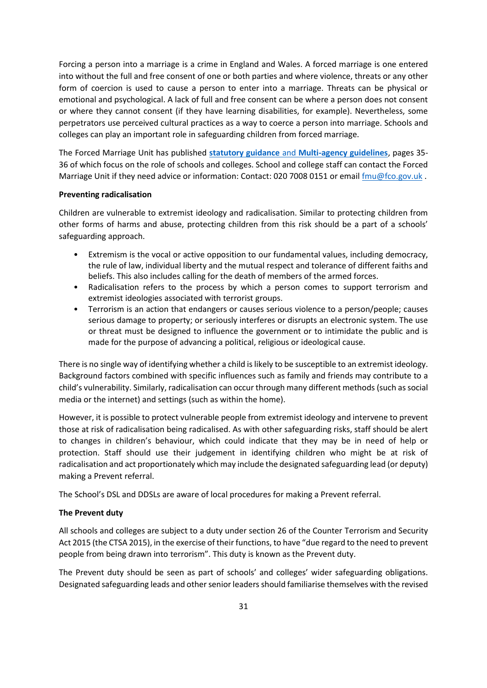Forcing a person into a marriage is a crime in England and Wales. A forced marriage is one entered into without the full and free consent of one or both parties and where violence, threats or any other form of coercion is used to cause a person to enter into a marriage. Threats can be physical or emotional and psychological. A lack of full and free consent can be where a person does not consent or where they cannot consent (if they have learning disabilities, for example). Nevertheless, some perpetrators use perceived cultural practices as a way to coerce a person into marriage. Schools and colleges can play an important role in safeguarding children from forced marriage.

The Forced Marriage Unit has published **statutory guidance** and **[Multi-agency guidelines](https://assets.publishing.service.gov.uk/government/uploads/system/uploads/attachment_data/file/322307/HMG_MULTI_AGENCY_PRACTICE_GUIDELINES_v1_180614_FINAL.pdf)**, pages 35- 36 of which focus on the role of schools and colleges. School and college staff can contact the Forced Marriage Unit if they need advice or information: Contact: 020 7008 0151 or email [fmu@fco.gov.uk](mailto:fmu@fco.gov.uk).

#### **Preventing radicalisation**

Children are vulnerable to extremist ideology and radicalisation. Similar to protecting children from other forms of harms and abuse, protecting children from this risk should be a part of a schools' safeguarding approach.

- Extremism is the vocal or active opposition to our fundamental values, including democracy, the rule of law, individual liberty and the mutual respect and tolerance of different faiths and beliefs. This also includes calling for the death of members of the armed forces.
- Radicalisation refers to the process by which a person comes to support terrorism and extremist ideologies associated with terrorist groups.
- Terrorism is an action that endangers or causes serious violence to a person/people; causes serious damage to property; or seriously interferes or disrupts an electronic system. The use or threat must be designed to influence the government or to intimidate the public and is made for the purpose of advancing a political, religious or ideological cause.

There is no single way of identifying whether a child is likely to be susceptible to an extremist ideology. Background factors combined with specific influences such as family and friends may contribute to a child's vulnerability. Similarly, radicalisation can occur through many different methods (such as social media or the internet) and settings (such as within the home).

However, it is possible to protect vulnerable people from extremist ideology and intervene to prevent those at risk of radicalisation being radicalised. As with other safeguarding risks, staff should be alert to changes in children's behaviour, which could indicate that they may be in need of help or protection. Staff should use their judgement in identifying children who might be at risk of radicalisation and act proportionately which may include the designated safeguarding lead (or deputy) making a Prevent referral.

The School's DSL and DDSLs are aware of local procedures for making a Prevent referral.

### **The Prevent duty**

All schools and colleges are subject to a duty under section 26 of the Counter Terrorism and Security Act 2015 (the CTSA 2015), in the exercise of their functions, to have "due regard to the need to prevent people from being drawn into terrorism". This duty is known as the Prevent duty.

The Prevent duty should be seen as part of schools' and colleges' wider safeguarding obligations. Designated safeguarding leads and other senior leaders should familiarise themselves with the revised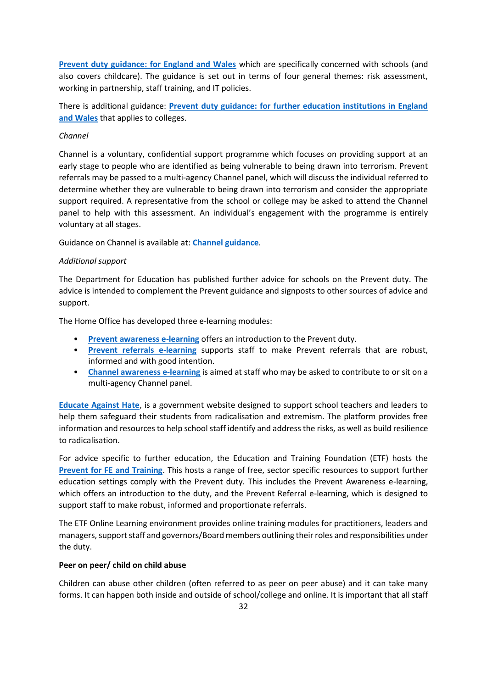**[Prevent duty guidance: for England and Wales](https://www.gov.uk/government/publications/prevent-duty-guidance/revised-prevent-duty-guidance-for-england-and-wales)** which are specifically concerned with schools (and also covers childcare). The guidance is set out in terms of four general themes: risk assessment, working in partnership, staff training, and IT policies.

There is additional guidance: **[Prevent duty guidance: for further education institutions in England](https://www.gov.uk/government/publications/prevent-duty-guidance/prevent-duty-guidance-for-further-education-institutions-in-england-and-wales)  [and Wales](https://www.gov.uk/government/publications/prevent-duty-guidance/prevent-duty-guidance-for-further-education-institutions-in-england-and-wales)** that applies to colleges.

### *Channel*

Channel is a voluntary, confidential support programme which focuses on providing support at an early stage to people who are identified as being vulnerable to being drawn into terrorism. Prevent referrals may be passed to a multi-agency Channel panel, which will discuss the individual referred to determine whether they are vulnerable to being drawn into terrorism and consider the appropriate support required. A representative from the school or college may be asked to attend the Channel panel to help with this assessment. An individual's engagement with the programme is entirely voluntary at all stages.

Guidance on Channel is available at: **[Channel guidance](https://www.gov.uk/government/publications/channel-and-prevent-multi-agency-panel-pmap-guidance)**.

#### *Additional support*

The Department for Education has published further advice for schools on the Prevent duty. The advice is intended to complement the Prevent guidance and signposts to other sources of advice and support.

The Home Office has developed three e-learning modules:

- **[Prevent awareness e-learning](https://www.elearning.prevent.homeoffice.gov.uk/edu/screen1.html)** offers an introduction to the Prevent duty.
- **[Prevent referrals e-learning](https://www.elearning.prevent.homeoffice.gov.uk/prevent_referrals/01-welcome.html)** supports staff to make Prevent referrals that are robust, informed and with good intention.
- **[Channel awareness e-learning](https://www.elearning.prevent.homeoffice.gov.uk/channel_awareness/01-welcome.html)** is aimed at staff who may be asked to contribute to or sit on a multi-agency Channel panel.

**[Educate Against Hate](https://educateagainsthate.com/)**, is a government website designed to support school teachers and leaders to help them safeguard their students from radicalisation and extremism. The platform provides free information and resources to help school staff identify and address the risks, as well as build resilience to radicalisation.

For advice specific to further education, the Education and Training Foundation (ETF) hosts the **[Prevent for FE and Training](https://preventforfeandtraining.org.uk/)**. This hosts a range of free, sector specific resources to support further education settings comply with the Prevent duty. This includes the Prevent Awareness e-learning, which offers an introduction to the duty, and the Prevent Referral e-learning, which is designed to support staff to make robust, informed and proportionate referrals.

The ETF Online Learning environment provides online training modules for practitioners, leaders and managers, support staff and governors/Board members outlining their roles and responsibilities under the duty.

#### **Peer on peer/ child on child abuse**

Children can abuse other children (often referred to as peer on peer abuse) and it can take many forms. It can happen both inside and outside of school/college and online. It is important that all staff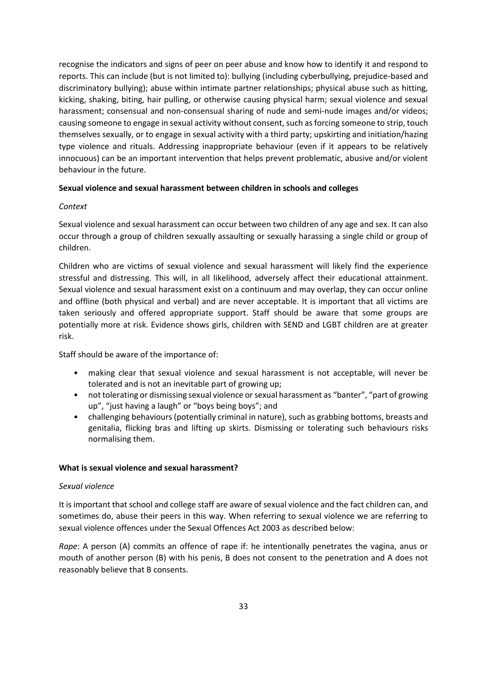recognise the indicators and signs of peer on peer abuse and know how to identify it and respond to reports. This can include (but is not limited to): bullying (including cyberbullying, prejudice-based and discriminatory bullying); abuse within intimate partner relationships; physical abuse such as hitting, kicking, shaking, biting, hair pulling, or otherwise causing physical harm; sexual violence and sexual harassment; consensual and non-consensual sharing of nude and semi-nude images and/or videos; causing someone to engage in sexual activity without consent, such as forcing someone to strip, touch themselves sexually, or to engage in sexual activity with a third party; upskirting and initiation/hazing type violence and rituals. Addressing inappropriate behaviour (even if it appears to be relatively innocuous) can be an important intervention that helps prevent problematic, abusive and/or violent behaviour in the future.

### **Sexual violence and sexual harassment between children in schools and colleges**

### *Context*

Sexual violence and sexual harassment can occur between two children of any age and sex. It can also occur through a group of children sexually assaulting or sexually harassing a single child or group of children.

Children who are victims of sexual violence and sexual harassment will likely find the experience stressful and distressing. This will, in all likelihood, adversely affect their educational attainment. Sexual violence and sexual harassment exist on a continuum and may overlap, they can occur online and offline (both physical and verbal) and are never acceptable. It is important that all victims are taken seriously and offered appropriate support. Staff should be aware that some groups are potentially more at risk. Evidence shows girls, children with SEND and LGBT children are at greater risk.

Staff should be aware of the importance of:

- making clear that sexual violence and sexual harassment is not acceptable, will never be tolerated and is not an inevitable part of growing up;
- not tolerating or dismissing sexual violence or sexual harassment as "banter", "part of growing up", "just having a laugh" or "boys being boys"; and
- challenging behaviours (potentially criminal in nature), such as grabbing bottoms, breasts and genitalia, flicking bras and lifting up skirts. Dismissing or tolerating such behaviours risks normalising them.

### **What is sexual violence and sexual harassment?**

### *Sexual violence*

It is important that school and college staff are aware of sexual violence and the fact children can, and sometimes do, abuse their peers in this way. When referring to sexual violence we are referring to sexual violence offences under the Sexual Offences Act 2003 as described below:

*Rape*: A person (A) commits an offence of rape if: he intentionally penetrates the vagina, anus or mouth of another person (B) with his penis, B does not consent to the penetration and A does not reasonably believe that B consents.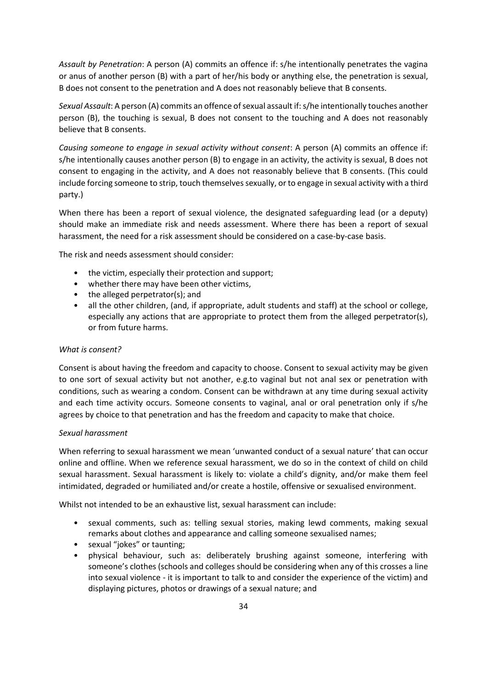*Assault by Penetration*: A person (A) commits an offence if: s/he intentionally penetrates the vagina or anus of another person (B) with a part of her/his body or anything else, the penetration is sexual, B does not consent to the penetration and A does not reasonably believe that B consents.

*Sexual Assault*: A person (A) commits an offence of sexual assault if: s/he intentionally touches another person (B), the touching is sexual, B does not consent to the touching and A does not reasonably believe that B consents.

*Causing someone to engage in sexual activity without consent*: A person (A) commits an offence if: s/he intentionally causes another person (B) to engage in an activity, the activity is sexual, B does not consent to engaging in the activity, and A does not reasonably believe that B consents. (This could include forcing someone to strip, touch themselves sexually, or to engage in sexual activity with a third party.)

When there has been a report of sexual violence, the designated safeguarding lead (or a deputy) should make an immediate risk and needs assessment. Where there has been a report of sexual harassment, the need for a risk assessment should be considered on a case-by-case basis.

The risk and needs assessment should consider:

- the victim, especially their protection and support;
- whether there may have been other victims,
- the alleged perpetrator(s); and
- all the other children, (and, if appropriate, adult students and staff) at the school or college, especially any actions that are appropriate to protect them from the alleged perpetrator(s), or from future harms.

#### *What is consent?*

Consent is about having the freedom and capacity to choose. Consent to sexual activity may be given to one sort of sexual activity but not another, e.g.to vaginal but not anal sex or penetration with conditions, such as wearing a condom. Consent can be withdrawn at any time during sexual activity and each time activity occurs. Someone consents to vaginal, anal or oral penetration only if s/he agrees by choice to that penetration and has the freedom and capacity to make that choice.

#### *Sexual harassment*

When referring to sexual harassment we mean 'unwanted conduct of a sexual nature' that can occur online and offline. When we reference sexual harassment, we do so in the context of child on child sexual harassment. Sexual harassment is likely to: violate a child's dignity, and/or make them feel intimidated, degraded or humiliated and/or create a hostile, offensive or sexualised environment.

Whilst not intended to be an exhaustive list, sexual harassment can include:

- sexual comments, such as: telling sexual stories, making lewd comments, making sexual remarks about clothes and appearance and calling someone sexualised names;
- sexual "jokes" or taunting;
- physical behaviour, such as: deliberately brushing against someone, interfering with someone's clothes (schools and colleges should be considering when any of this crosses a line into sexual violence - it is important to talk to and consider the experience of the victim) and displaying pictures, photos or drawings of a sexual nature; and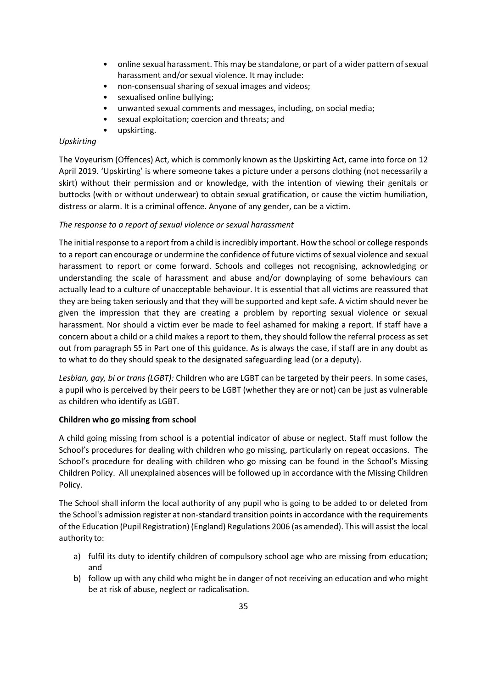- online sexual harassment. This may be standalone, or part of a wider pattern of sexual harassment and/or sexual violence. It may include:
- non-consensual sharing of sexual images and videos;
- sexualised online bullying;
- unwanted sexual comments and messages, including, on social media;
- sexual exploitation; coercion and threats; and
- upskirting.

# *Upskirting*

The Voyeurism (Offences) Act, which is commonly known as the Upskirting Act, came into force on 12 April 2019. 'Upskirting' is where someone takes a picture under a persons clothing (not necessarily a skirt) without their permission and or knowledge, with the intention of viewing their genitals or buttocks (with or without underwear) to obtain sexual gratification, or cause the victim humiliation, distress or alarm. It is a criminal offence. Anyone of any gender, can be a victim.

# *The response to a report of sexual violence or sexual harassment*

The initial response to a report from a child is incredibly important. How the school or college responds to a report can encourage or undermine the confidence of future victims of sexual violence and sexual harassment to report or come forward. Schools and colleges not recognising, acknowledging or understanding the scale of harassment and abuse and/or downplaying of some behaviours can actually lead to a culture of unacceptable behaviour. It is essential that all victims are reassured that they are being taken seriously and that they will be supported and kept safe. A victim should never be given the impression that they are creating a problem by reporting sexual violence or sexual harassment. Nor should a victim ever be made to feel ashamed for making a report. If staff have a concern about a child or a child makes a report to them, they should follow the referral process as set out from paragraph 55 in Part one of this guidance. As is always the case, if staff are in any doubt as to what to do they should speak to the designated safeguarding lead (or a deputy).

*Lesbian, gay, bi or trans (LGBT):* Children who are LGBT can be targeted by their peers. In some cases, a pupil who is perceived by their peers to be LGBT (whether they are or not) can be just as vulnerable as children who identify as LGBT.

# **Children who go missing from school**

A child going missing from school is a potential indicator of abuse or neglect. Staff must follow the School's procedures for dealing with children who go missing, particularly on repeat occasions.The School's procedure for dealing with children who go missing can be found in the School's Missing Children Policy. All unexplained absences will be followed up in accordance with the Missing Children Policy.

The School shall inform the local authority of any pupil who is going to be added to or deleted from the School's admission register at non-standard transition points in accordance with the requirements of the Education (Pupil Registration) (England) Regulations 2006 (as amended). This will assist the local authority to:

- a) fulfil its duty to identify children of compulsory school age who are missing from education; and
- b) follow up with any child who might be in danger of not receiving an education and who might be at risk of abuse, neglect or radicalisation.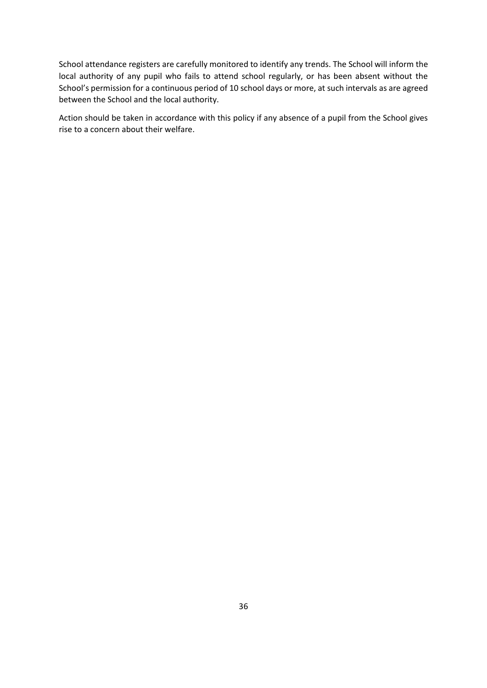School attendance registers are carefully monitored to identify any trends. The School will inform the local authority of any pupil who fails to attend school regularly, or has been absent without the School's permission for a continuous period of 10 school days or more, at such intervals as are agreed between the School and the local authority.

<span id="page-35-0"></span>Action should be taken in accordance with this policy if any absence of a pupil from the School gives rise to a concern about their welfare.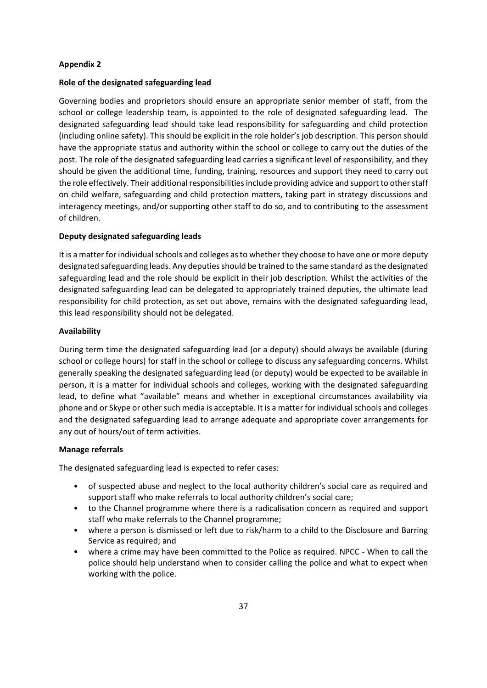### **Appendix 2**

### **Role of the designated safeguarding lead**

Governing bodies and proprietors should ensure an appropriate senior member of staff, from the school or college leadership team, is appointed to the role of designated safeguarding lead. The designated safeguarding lead should take lead responsibility for safeguarding and child protection (including online safety). This should be explicit in the role holder's job description. This person should have the appropriate status and authority within the school or college to carry out the duties of the post. The role of the designated safeguarding lead carries a significant level of responsibility, and they should be given the additional time, funding, training, resources and support they need to carry out the role effectively. Their additional responsibilities include providing advice and support to other staff on child welfare, safeguarding and child protection matters, taking part in strategy discussions and interagency meetings, and/or supporting other staff to do so, and to contributing to the assessment of children.

### **Deputy designated safeguarding leads**

It is a matter for individual schools and colleges as to whether they choose to have one or more deputy designated safeguarding leads. Any deputies should be trained to the same standard as the designated safeguarding lead and the role should be explicit in their job description. Whilst the activities of the designated safeguarding lead can be delegated to appropriately trained deputies, the ultimate lead responsibility for child protection, as set out above, remains with the designated safeguarding lead, this lead responsibility should not be delegated.

### **Availability**

During term time the designated safeguarding lead (or a deputy) should always be available (during school or college hours) for staff in the school or college to discuss any safeguarding concerns. Whilst generally speaking the designated safeguarding lead (or deputy) would be expected to be available in person, it is a matter for individual schools and colleges, working with the designated safeguarding lead, to define what "available" means and whether in exceptional circumstances availability via phone and or Skype or other such media is acceptable. It is a matter for individual schools and colleges and the designated safeguarding lead to arrange adequate and appropriate cover arrangements for any out of hours/out of term activities.

### **Manage referrals**

The designated safeguarding lead is expected to refer cases:

- of suspected abuse and neglect to the local authority children's social care as required and support staff who make referrals to local authority children's social care;
- to the Channel programme where there is a radicalisation concern as required and support staff who make referrals to the Channel programme;
- where a person is dismissed or left due to risk/harm to a child to the Disclosure and Barring Service as required; and
- where a crime may have been committed to the Police as required. NPCC When to call the police should help understand when to consider calling the police and what to expect when working with the police.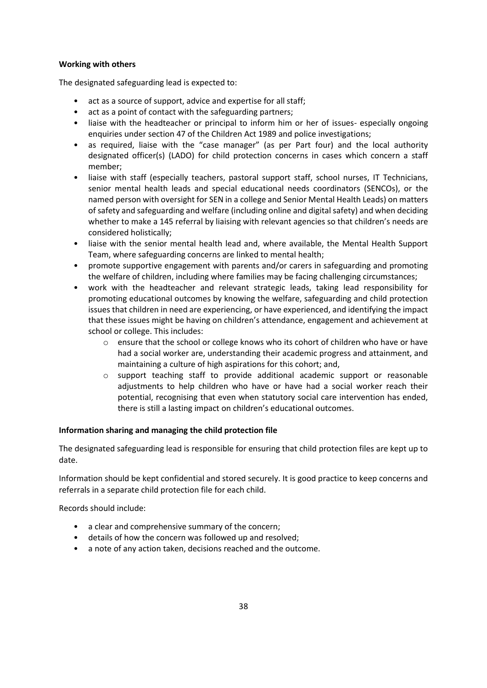# **Working with others**

The designated safeguarding lead is expected to:

- act as a source of support, advice and expertise for all staff;
- act as a point of contact with the safeguarding partners;
- liaise with the headteacher or principal to inform him or her of issues- especially ongoing enquiries under section 47 of the Children Act 1989 and police investigations;
- as required, liaise with the "case manager" (as per Part four) and the local authority designated officer(s) (LADO) for child protection concerns in cases which concern a staff member;
- liaise with staff (especially teachers, pastoral support staff, school nurses, IT Technicians, senior mental health leads and special educational needs coordinators (SENCOs), or the named person with oversight for SEN in a college and Senior Mental Health Leads) on matters of safety and safeguarding and welfare (including online and digital safety) and when deciding whether to make a 145 referral by liaising with relevant agencies so that children's needs are considered holistically;
- liaise with the senior mental health lead and, where available, the Mental Health Support Team, where safeguarding concerns are linked to mental health;
- promote supportive engagement with parents and/or carers in safeguarding and promoting the welfare of children, including where families may be facing challenging circumstances;
- work with the headteacher and relevant strategic leads, taking lead responsibility for promoting educational outcomes by knowing the welfare, safeguarding and child protection issues that children in need are experiencing, or have experienced, and identifying the impact that these issues might be having on children's attendance, engagement and achievement at school or college. This includes:
	- o ensure that the school or college knows who its cohort of children who have or have had a social worker are, understanding their academic progress and attainment, and maintaining a culture of high aspirations for this cohort; and,
	- $\circ$  support teaching staff to provide additional academic support or reasonable adjustments to help children who have or have had a social worker reach their potential, recognising that even when statutory social care intervention has ended, there is still a lasting impact on children's educational outcomes.

# **Information sharing and managing the child protection file**

The designated safeguarding lead is responsible for ensuring that child protection files are kept up to date.

Information should be kept confidential and stored securely. It is good practice to keep concerns and referrals in a separate child protection file for each child.

Records should include:

- a clear and comprehensive summary of the concern;
- details of how the concern was followed up and resolved;
- a note of any action taken, decisions reached and the outcome.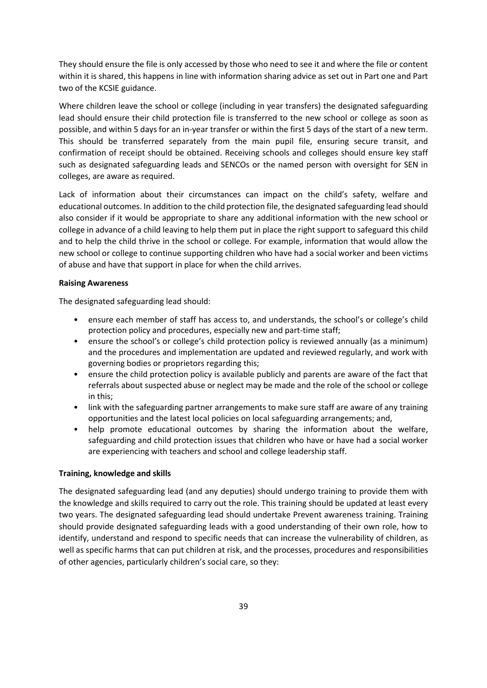They should ensure the file is only accessed by those who need to see it and where the file or content within it is shared, this happens in line with information sharing advice as set out in Part one and Part two of the KCSIE guidance.

Where children leave the school or college (including in year transfers) the designated safeguarding lead should ensure their child protection file is transferred to the new school or college as soon as possible, and within 5 days for an in-year transfer or within the first 5 days of the start of a new term. This should be transferred separately from the main pupil file, ensuring secure transit, and confirmation of receipt should be obtained. Receiving schools and colleges should ensure key staff such as designated safeguarding leads and SENCOs or the named person with oversight for SEN in colleges, are aware as required.

Lack of information about their circumstances can impact on the child's safety, welfare and educational outcomes. In addition to the child protection file, the designated safeguarding lead should also consider if it would be appropriate to share any additional information with the new school or college in advance of a child leaving to help them put in place the right support to safeguard this child and to help the child thrive in the school or college. For example, information that would allow the new school or college to continue supporting children who have had a social worker and been victims of abuse and have that support in place for when the child arrives.

#### **Raising Awareness**

The designated safeguarding lead should:

- ensure each member of staff has access to, and understands, the school's or college's child protection policy and procedures, especially new and part-time staff;
- ensure the school's or college's child protection policy is reviewed annually (as a minimum) and the procedures and implementation are updated and reviewed regularly, and work with governing bodies or proprietors regarding this;
- ensure the child protection policy is available publicly and parents are aware of the fact that referrals about suspected abuse or neglect may be made and the role of the school or college in this;
- link with the safeguarding partner arrangements to make sure staff are aware of any training opportunities and the latest local policies on local safeguarding arrangements; and,
- help promote educational outcomes by sharing the information about the welfare, safeguarding and child protection issues that children who have or have had a social worker are experiencing with teachers and school and college leadership staff.

#### **Training, knowledge and skills**

The designated safeguarding lead (and any deputies) should undergo training to provide them with the knowledge and skills required to carry out the role. This training should be updated at least every two years. The designated safeguarding lead should undertake Prevent awareness training. Training should provide designated safeguarding leads with a good understanding of their own role, how to identify, understand and respond to specific needs that can increase the vulnerability of children, as well as specific harms that can put children at risk, and the processes, procedures and responsibilities of other agencies, particularly children's social care, so they: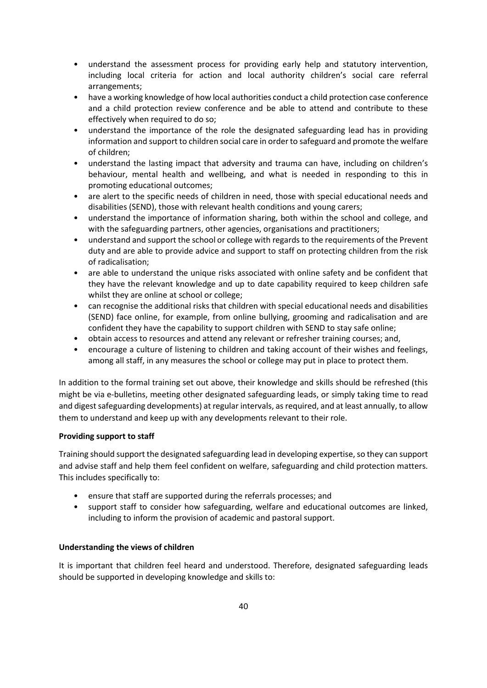- understand the assessment process for providing early help and statutory intervention, including local criteria for action and local authority children's social care referral arrangements;
- have a working knowledge of how local authorities conduct a child protection case conference and a child protection review conference and be able to attend and contribute to these effectively when required to do so;
- understand the importance of the role the designated safeguarding lead has in providing information and support to children social care in order to safeguard and promote the welfare of children;
- understand the lasting impact that adversity and trauma can have, including on children's behaviour, mental health and wellbeing, and what is needed in responding to this in promoting educational outcomes;
- are alert to the specific needs of children in need, those with special educational needs and disabilities (SEND), those with relevant health conditions and young carers;
- understand the importance of information sharing, both within the school and college, and with the safeguarding partners, other agencies, organisations and practitioners;
- understand and support the school or college with regards to the requirements of the Prevent duty and are able to provide advice and support to staff on protecting children from the risk of radicalisation;
- are able to understand the unique risks associated with online safety and be confident that they have the relevant knowledge and up to date capability required to keep children safe whilst they are online at school or college;
- can recognise the additional risks that children with special educational needs and disabilities (SEND) face online, for example, from online bullying, grooming and radicalisation and are confident they have the capability to support children with SEND to stay safe online;
- obtain access to resources and attend any relevant or refresher training courses; and,
- encourage a culture of listening to children and taking account of their wishes and feelings, among all staff, in any measures the school or college may put in place to protect them.

In addition to the formal training set out above, their knowledge and skills should be refreshed (this might be via e-bulletins, meeting other designated safeguarding leads, or simply taking time to read and digest safeguarding developments) at regular intervals, as required, and at least annually, to allow them to understand and keep up with any developments relevant to their role.

# **Providing support to staff**

Training should support the designated safeguarding lead in developing expertise, so they can support and advise staff and help them feel confident on welfare, safeguarding and child protection matters. This includes specifically to:

- ensure that staff are supported during the referrals processes; and
- support staff to consider how safeguarding, welfare and educational outcomes are linked, including to inform the provision of academic and pastoral support.

# **Understanding the views of children**

It is important that children feel heard and understood. Therefore, designated safeguarding leads should be supported in developing knowledge and skills to: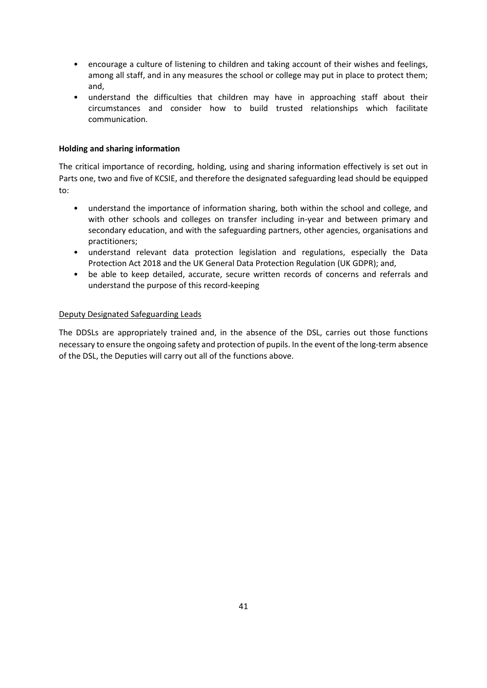- encourage a culture of listening to children and taking account of their wishes and feelings, among all staff, and in any measures the school or college may put in place to protect them; and,
- understand the difficulties that children may have in approaching staff about their circumstances and consider how to build trusted relationships which facilitate communication.

# **Holding and sharing information**

The critical importance of recording, holding, using and sharing information effectively is set out in Parts one, two and five of KCSIE, and therefore the designated safeguarding lead should be equipped to:

- understand the importance of information sharing, both within the school and college, and with other schools and colleges on transfer including in-year and between primary and secondary education, and with the safeguarding partners, other agencies, organisations and practitioners;
- understand relevant data protection legislation and regulations, especially the Data Protection Act 2018 and the UK General Data Protection Regulation (UK GDPR); and,
- be able to keep detailed, accurate, secure written records of concerns and referrals and understand the purpose of this record-keeping

# Deputy Designated Safeguarding Leads

The DDSLs are appropriately trained and, in the absence of the DSL, carries out those functions necessary to ensure the ongoing safety and protection of pupils. In the event of the long-term absence of the DSL, the Deputies will carry out all of the functions above.